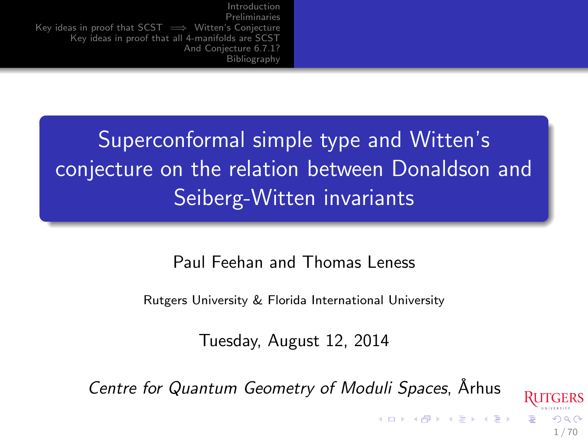<span id="page-0-1"></span>Superconformal simple type and Witten's conjecture on the relation between Donaldson and Seiberg-Witten invariants

Paul Feehan and Thomas Leness

Rutgers University & Florida International University

Tuesday, August 12, 2014

Centre for Quantum Geometry of Moduli Spaces, Arhus

<span id="page-0-0"></span>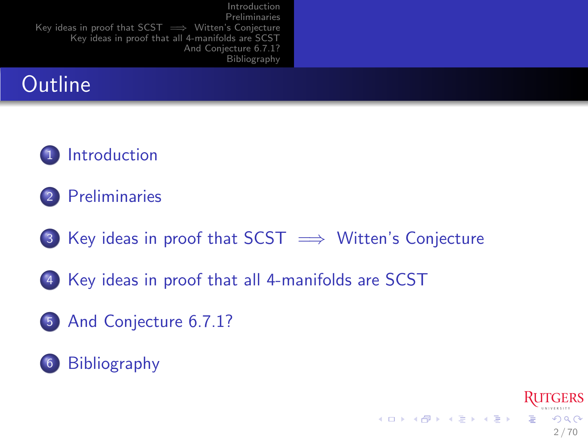## **Outline**

### 1 [Introduction](#page-2-0)

- 2 [Preliminaries](#page-20-0)
- 3 Key ideas in proof that  $SCST \implies$  Witten's Conjecture

<span id="page-1-0"></span>2 / 70

 $2990$ 

Ξ

メロメ メ御き メミメ メミメ

- 4 [Key ideas in proof that all 4-manifolds are SCST](#page-51-0)
- 5 [And Conjecture 6.7.1?](#page-55-0)

### 6 [Bibliography](#page-60-0)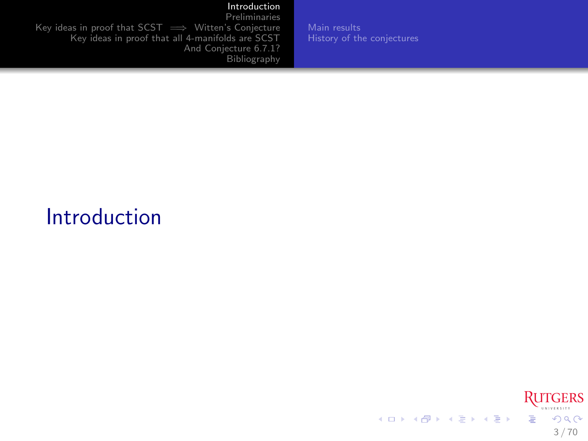[Preliminaries](#page-20-0) Key ideas in proof that SCST ⇒ Witten's Conjecture [Key ideas in proof that all 4-manifolds are SCST](#page-51-0) [And Conjecture 6.7.1?](#page-55-0) [Bibliography](#page-60-0)

[Main results](#page-3-0) [History of the conjectures](#page-11-0)

# Introduction

<span id="page-2-0"></span>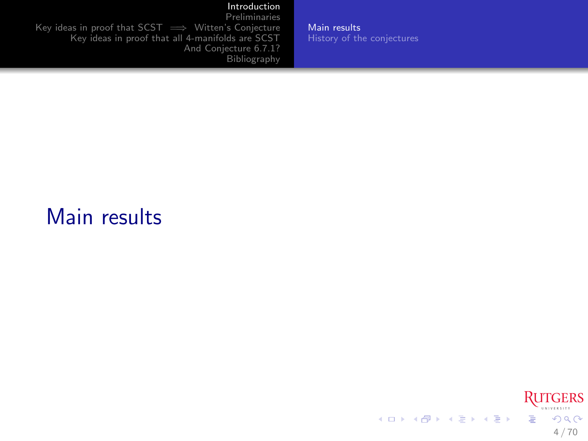[Preliminaries](#page-20-0) Key ideas in proof that SCST ⇒ Witten's Conjecture [Key ideas in proof that all 4-manifolds are SCST](#page-51-0) [And Conjecture 6.7.1?](#page-55-0) [Bibliography](#page-60-0)

[Main results](#page-3-0) [History of the conjectures](#page-11-0)

### Main results

<span id="page-3-0"></span>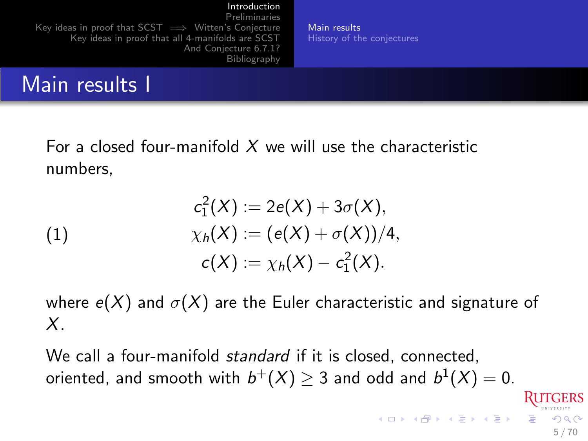[Preliminaries](#page-20-0) [Key ideas in proof that SCST =](#page-46-0)→ Witten's Conjecture [Key ideas in proof that all 4-manifolds are SCST](#page-51-0) [And Conjecture 6.7.1?](#page-55-0) [Bibliography](#page-60-0)

[Main results](#page-3-0) [History of the conjectures](#page-11-0)

### Main results I

For a closed four-manifold  $X$  we will use the characteristic numbers,

(1)  
\n
$$
c_1^2(X) := 2e(X) + 3\sigma(X),
$$
\n
$$
\chi_h(X) := (e(X) + \sigma(X))/4,
$$
\n
$$
c(X) := \chi_h(X) - c_1^2(X).
$$

where  $e(X)$  and  $\sigma(X)$  are the Euler characteristic and signature of X.

We call a four-manifold *standard* if it is closed, connected, oriented, and smooth with  $b^+(X)\geq 3$  and odd and  $b^1(X)=0.$ イロメ イ団メ イモメ イモメー  $QQ$ 

5 / 70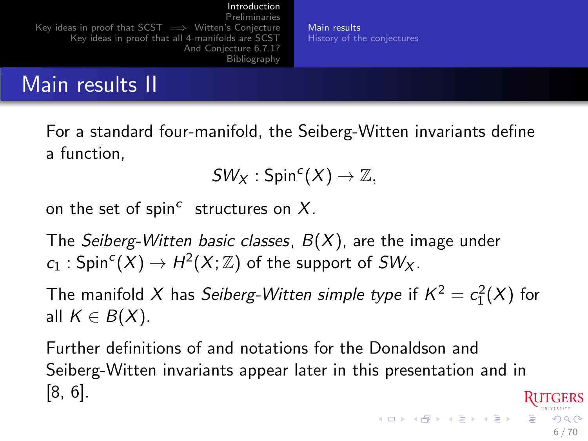[Preliminaries](#page-20-0) [Key ideas in proof that SCST =](#page-46-0)→ Witten's Conjecture [Key ideas in proof that all 4-manifolds are SCST](#page-51-0) [And Conjecture 6.7.1?](#page-55-0) [Bibliography](#page-60-0)

[Main results](#page-3-0) [History of the conjectures](#page-11-0)

6 / 70

 $209$ 

### Main results II

For a standard four-manifold, the Seiberg-Witten invariants define a function,

$$
SW_X:Spin^c(X)\to\mathbb{Z},
$$

on the set of spin<sup>c</sup> structures on  $X$ .

The Seiberg-Witten basic classes,  $B(X)$ , are the image under  $c_1: \mathsf{Spin}^c(X) \rightarrow H^2(X;\mathbb{Z})$  of the support of  $SW_X.$ 

The manifold  $X$  has *Seiberg-Witten simple type* if  $K^2 = c_1^2(X)$  for all  $K \in B(X)$ .

Further definitions of and notations for the Donaldson and Seiberg-Witten invariants appear later in this presentation and in [\[8,](#page-62-0) [6\]](#page-62-1).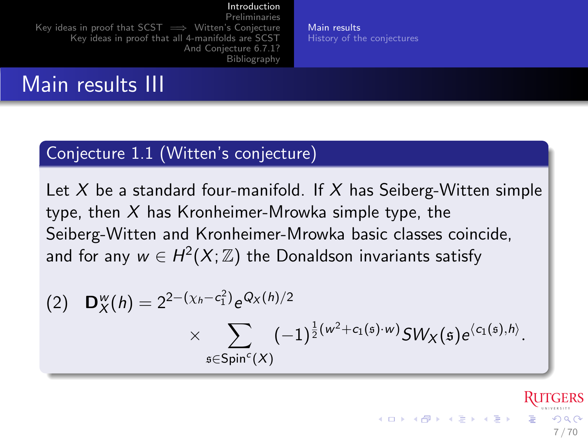[Preliminaries](#page-20-0) [Key ideas in proof that SCST =](#page-46-0)→ Witten's Conjecture [Key ideas in proof that all 4-manifolds are SCST](#page-51-0) [And Conjecture 6.7.1?](#page-55-0) [Bibliography](#page-60-0)

[Main results](#page-3-0) [History of the conjectures](#page-11-0)

### Main results III

### Conjecture 1.1 (Witten's conjecture)

<span id="page-6-0"></span>Let X be a standard four-manifold. If X has Seiberg-Witten simple type, then  $X$  has Kronheimer-Mrowka simple type, the Seiberg-Witten and Kronheimer-Mrowka basic classes coincide, and for any  $w\in H^2(X;\mathbb{Z})$  the Donaldson invariants satisfy

(2) 
$$
\mathbf{D}_{X}^{w}(h) = 2^{2-(\chi_{h}-c_{1}^{2})}e^{Q_{X}(h)/2} \times \sum_{\mathfrak{s} \in Spin^{c}(X)} (-1)^{\frac{1}{2}(w^{2}+c_{1}(\mathfrak{s})\cdot w)}SW_{X}(\mathfrak{s})e^{\langle c_{1}(\mathfrak{s}),h\rangle}.
$$

 $\Omega$ 7 / 70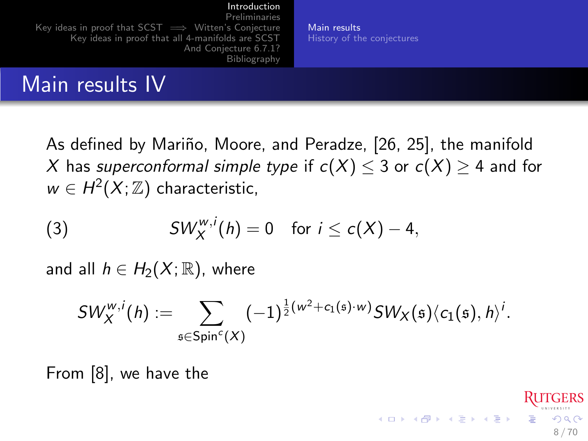[Preliminaries](#page-20-0) [Key ideas in proof that SCST =](#page-46-0)→ Witten's Conjecture [Key ideas in proof that all 4-manifolds are SCST](#page-51-0) [And Conjecture 6.7.1?](#page-55-0) [Bibliography](#page-60-0)

[Main results](#page-3-0) [History of the conjectures](#page-11-0)

8 / 70

 $\Omega$ 

**K ロ ト K 御 ト K 澄 ト K 差 ト** 

## Main results IV

As defined by Mariño, Moore, and Peradze, [\[26,](#page-66-0) [25\]](#page-66-1), the manifold X has superconformal simple type if  $c(X) \leq 3$  or  $c(X) \geq 4$  and for  $w \in H^2(X;\mathbb{Z})$  characteristic,

(3) 
$$
SW_X^{w,i}(h) = 0 \text{ for } i \leq c(X) - 4,
$$

and all  $h \in H_2(X;\mathbb{R})$ , where

<span id="page-7-0"></span>
$$
\mathcal{SW}_X^{w,i}(h):=\sum_{\mathfrak{s}\in \mathsf{Spin}^c(X)} (-1)^{\frac{1}{2}(w^2+c_1(\mathfrak{s})\cdot w)}\mathcal{SW}_X(\mathfrak{s})\langle c_1(\mathfrak{s}),h\rangle^i.
$$

From [\[8\]](#page-62-0), we have the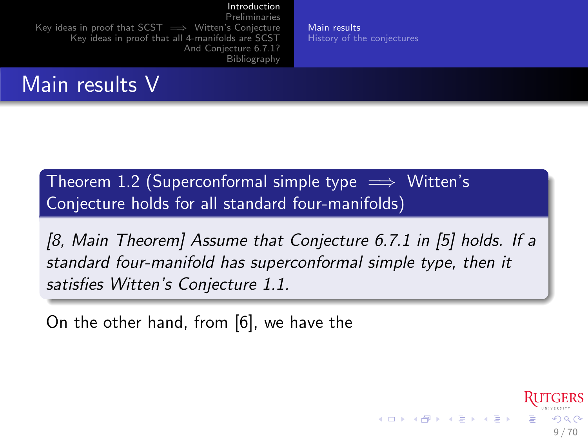[Preliminaries](#page-20-0) [Key ideas in proof that SCST =](#page-46-0)→ Witten's Conjecture [Key ideas in proof that all 4-manifolds are SCST](#page-51-0) [And Conjecture 6.7.1?](#page-55-0) [Bibliography](#page-60-0)

## Main results V

Theorem 1.2 (Superconformal simple type  $\implies$  Witten's Conjecture holds for all standard four-manifolds)

<span id="page-8-0"></span>[\[8,](#page-62-0) Main Theorem] Assume that Conjecture 6.7.1 in [\[5\]](#page-62-2) holds. If a standard four-manifold has superconformal simple type, then it satisfies Witten's Conjecture [1.1.](#page-6-0)

On the other hand, from [\[6\]](#page-62-1), we have the

[Main results](#page-3-0) [History of the conjectures](#page-11-0)

9 / 70

 $\Omega$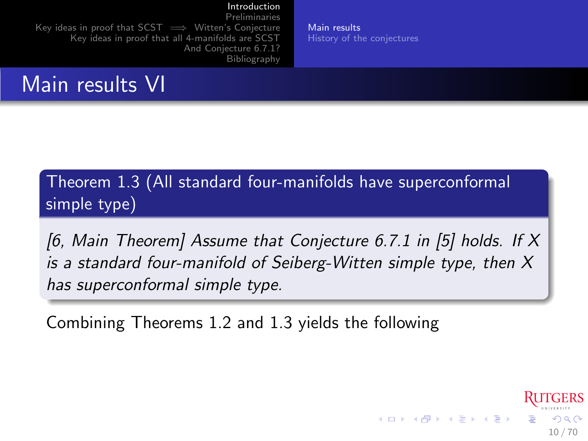[Preliminaries](#page-20-0) [Key ideas in proof that SCST =](#page-46-0)→ Witten's Conjecture [Key ideas in proof that all 4-manifolds are SCST](#page-51-0) [And Conjecture 6.7.1?](#page-55-0) [Bibliography](#page-60-0)

Main results VI

Theorem 1.3 (All standard four-manifolds have superconformal simple type)

<span id="page-9-0"></span>[\[6,](#page-62-1) Main Theorem] Assume that Conjecture 6.7.1 in [\[5\]](#page-62-2) holds. If X is a standard four-manifold of Seiberg-Witten simple type, then X has superconformal simple type.

Combining Theorems [1.2](#page-8-0) and [1.3](#page-9-0) yields the following

[Main results](#page-3-0) [History of the conjectures](#page-11-0)

10 / 70

 $\Omega$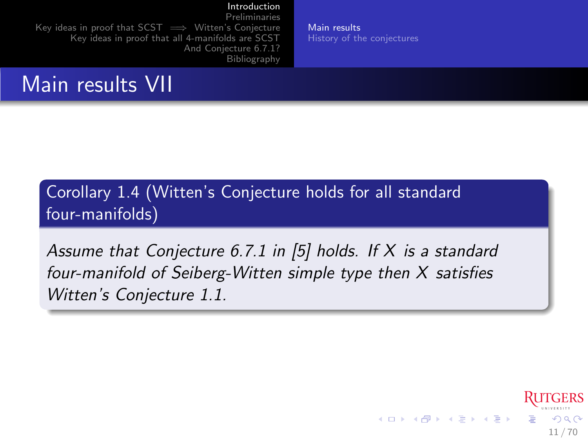[Main results](#page-3-0) [History of the conjectures](#page-11-0)

<span id="page-10-0"></span>11 / 70

 $209$ 

メロト メ都 トメ ヨ トメ ヨト

[Preliminaries](#page-20-0) [Key ideas in proof that SCST =](#page-46-0)→ Witten's Conjecture [Key ideas in proof that all 4-manifolds are SCST](#page-51-0) [And Conjecture 6.7.1?](#page-55-0) [Bibliography](#page-60-0)

Main results VII

Corollary 1.4 (Witten's Conjecture holds for all standard four-manifolds)

<span id="page-10-1"></span>Assume that Conjecture 6.7.1 in [\[5\]](#page-62-2) holds. If X is a standard four-manifold of Seiberg-Witten simple type then X satisfies Witten's Conjecture [1.1.](#page-6-0)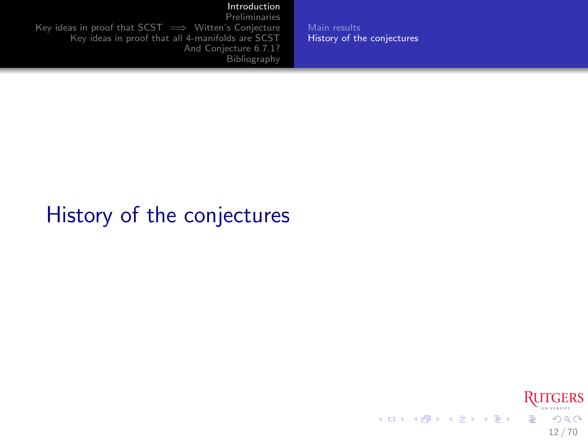[Preliminaries](#page-20-0) Key ideas in proof that  $SCST \implies$  Witten's Conjecture [Key ideas in proof that all 4-manifolds are SCST](#page-51-0) [And Conjecture 6.7.1?](#page-55-0) **[Bibliography](#page-60-0)** 

History of the conjectures

[Main results](#page-3-0) [History of the conjectures](#page-11-0)

#### <span id="page-11-0"></span>**RUTGERS** メロメ メ御き メミメ メミメ Ğ.  $299$ 12 / 70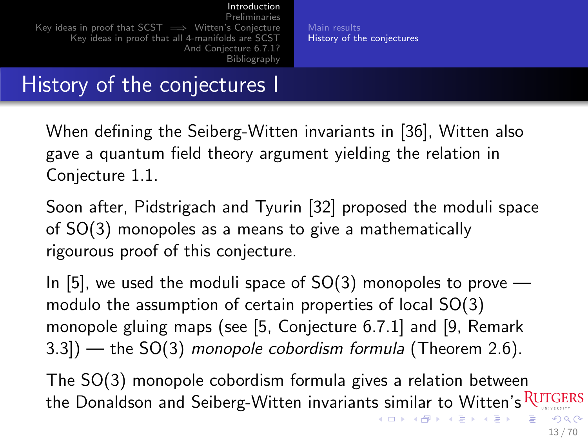### History of the conjectures I

When defining the Seiberg-Witten invariants in [\[36\]](#page-69-0), Witten also gave a quantum field theory argument yielding the relation in Conjecture [1.1.](#page-6-0)

Soon after, Pidstrigach and Tyurin [\[32\]](#page-68-0) proposed the moduli space of SO(3) monopoles as a means to give a mathematically rigourous proof of this conjecture.

In [\[5\]](#page-62-2), we used the moduli space of  $SO(3)$  monopoles to prove modulo the assumption of certain properties of local SO(3) monopole gluing maps (see [\[5,](#page-62-2) Conjecture 6.7.1] and [\[9,](#page-62-3) Remark 3.3]) — the SO(3) monopole cobordism formula (Theorem [2.6\)](#page-40-0).

<span id="page-12-0"></span>The SO(3) monopole cobordism formula gives a relation between the Donaldson and Seiberg-Witten invariants similar to Witten's RUTGERS イロト イ押 トイヨ トイヨ トー  $QQ$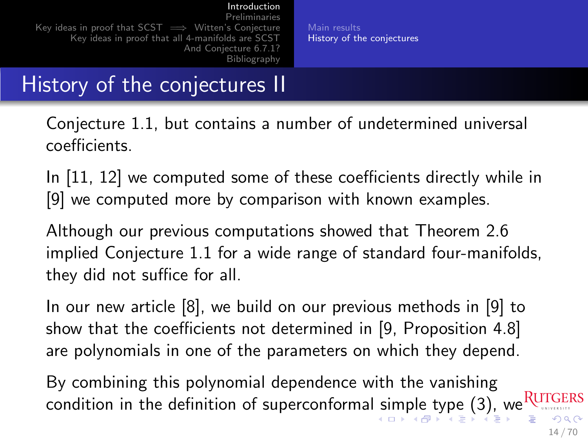## History of the conjectures II

Conjecture [1.1,](#page-6-0) but contains a number of undetermined universal coefficients.

In [\[11,](#page-63-0) [12\]](#page-63-1) we computed some of these coefficients directly while in [\[9\]](#page-62-3) we computed more by comparison with known examples.

Although our previous computations showed that Theorem [2.6](#page-40-0) implied Conjecture [1.1](#page-6-0) for a wide range of standard four-manifolds, they did not suffice for all.

In our new article [\[8\]](#page-62-0), we build on our previous methods in [\[9\]](#page-62-3) to show that the coefficients not determined in [\[9,](#page-62-3) Proposition 4.8] are polynomials in one of the parameters on which they depend.

<span id="page-13-0"></span>By combining this polynomial dependence with the vanishing condition in the definition of superconformal [si](#page-12-0)[m](#page-14-0)[pl](#page-11-0)[e](#page-0-0)[ty](#page-20-0)[p](#page-10-0)e [\(3\)](#page-7-0)[,](#page-2-0) [w](#page-20-0)e RUTGERS  $\Omega$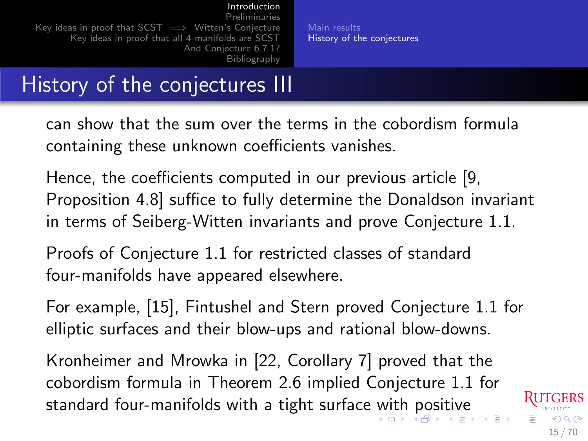## History of the conjectures III

can show that the sum over the terms in the cobordism formula containing these unknown coefficients vanishes.

Hence, the coefficients computed in our previous article [\[9,](#page-62-3) Proposition 4.8] suffice to fully determine the Donaldson invariant in terms of Seiberg-Witten invariants and prove Conjecture [1.1.](#page-6-0)

Proofs of Conjecture [1.1](#page-6-0) for restricted classes of standard four-manifolds have appeared elsewhere.

For example, [\[15\]](#page-64-0), Fintushel and Stern proved Conjecture [1.1](#page-6-0) for elliptic surfaces and their blow-ups and rational blow-downs.

Kronheimer and Mrowka in [\[22,](#page-66-2) Corollary 7] proved that the cobordism formula in Theorem [2.6](#page-40-0) implied Conjecture [1.1](#page-6-0) for standard four-manifolds [w](#page-13-0)i[th](#page-15-0)a tight surface with [p](#page-12-0)[o](#page-19-0)[si](#page-20-0)[ti](#page-10-0)[v](#page-11-0)[e](#page-19-0)

<span id="page-14-0"></span> $\Omega$ 15 / 70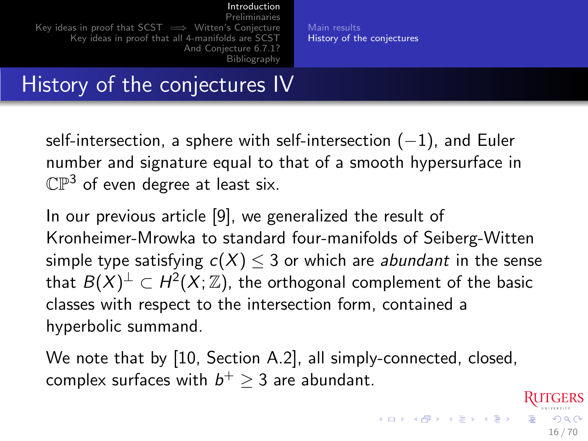## History of the conjectures IV

self-intersection, a sphere with self-intersection  $(-1)$ , and Euler number and signature equal to that of a smooth hypersurface in  $\mathbb{CP}^3$  of even degree at least six.

In our previous article [\[9\]](#page-62-3), we generalized the result of Kronheimer-Mrowka to standard four-manifolds of Seiberg-Witten simple type satisfying  $c(X) \leq 3$  or which are *abundant* in the sense that  $B(X)^\perp \subset H^2(X;\mathbb{Z})$ , the orthogonal complement of the basic classes with respect to the intersection form, contained a hyperbolic summand.

We note that by [\[10,](#page-63-2) Section A.2], all simply-connected, closed, complex surfaces with  $b^+ \geq 3$  are abundant.

<span id="page-15-0"></span>16 / 70

 $209$ 

**K ロ ト K 御 ト K 澄 ト K 差 ト**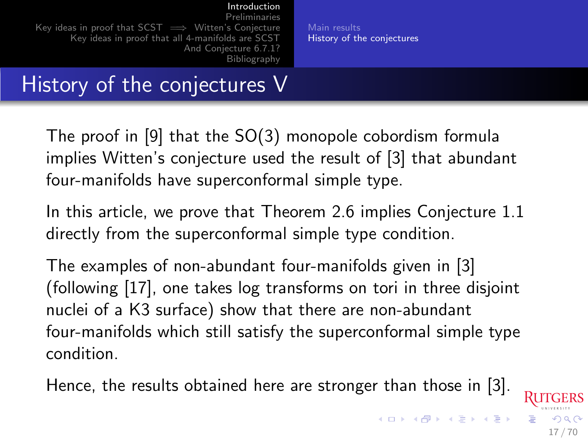### History of the conjectures V

The proof in [\[9\]](#page-62-3) that the SO(3) monopole cobordism formula implies Witten's conjecture used the result of [\[3\]](#page-61-0) that abundant four-manifolds have superconformal simple type.

In this article, we prove that Theorem [2.6](#page-40-0) implies Conjecture [1.1](#page-6-0) directly from the superconformal simple type condition.

The examples of non-abundant four-manifolds given in [\[3\]](#page-61-0) (following [\[17\]](#page-64-1), one takes log transforms on tori in three disjoint nuclei of a K3 surface) show that there are non-abundant four-manifolds which still satisfy the superconformal simple type condition.

Hence, the results obtained here are stronger than those in [\[3\]](#page-61-0).

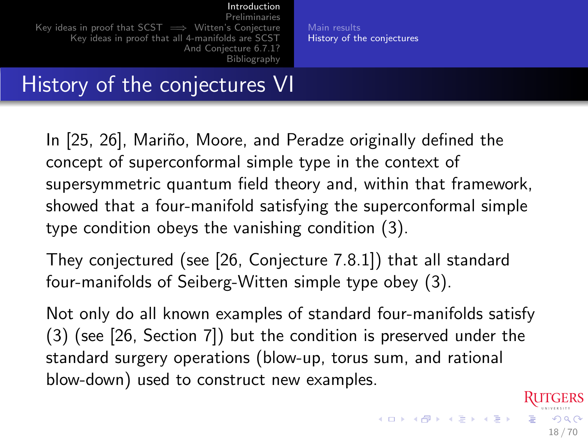### History of the conjectures VI

In [\[25,](#page-66-1) [26\]](#page-66-0), Mariño, Moore, and Peradze originally defined the concept of superconformal simple type in the context of supersymmetric quantum field theory and, within that framework, showed that a four-manifold satisfying the superconformal simple type condition obeys the vanishing condition [\(3\)](#page-7-0).

They conjectured (see [\[26,](#page-66-0) Conjecture 7.8.1]) that all standard four-manifolds of Seiberg-Witten simple type obey [\(3\)](#page-7-0).

Not only do all known examples of standard four-manifolds satisfy [\(3\)](#page-7-0) (see [\[26,](#page-66-0) Section 7]) but the condition is preserved under the standard surgery operations (blow-up, torus sum, and rational blow-down) used to construct new examples.

18 / 70

 $\Omega$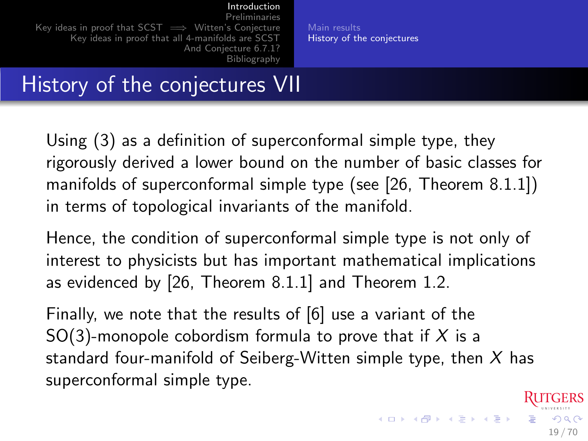### History of the conjectures VII

Using [\(3\)](#page-7-0) as a definition of superconformal simple type, they rigorously derived a lower bound on the number of basic classes for manifolds of superconformal simple type (see [\[26,](#page-66-0) Theorem 8.1.1]) in terms of topological invariants of the manifold.

Hence, the condition of superconformal simple type is not only of interest to physicists but has important mathematical implications as evidenced by [\[26,](#page-66-0) Theorem 8.1.1] and Theorem [1.2.](#page-8-0)

Finally, we note that the results of [\[6\]](#page-62-1) use a variant of the SO(3)-monopole cobordism formula to prove that if X is a standard four-manifold of Seiberg-Witten simple type, then  $X$  has superconformal simple type.

19 / 70

 $\Omega$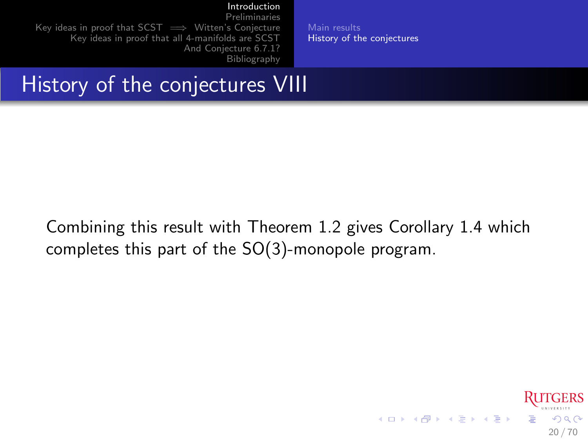[Main results](#page-3-0) [History of the conjectures](#page-11-0)

[Preliminaries](#page-20-0) [Key ideas in proof that SCST =](#page-46-0)→ Witten's Conjecture [Key ideas in proof that all 4-manifolds are SCST](#page-51-0) [And Conjecture 6.7.1?](#page-55-0) [Bibliography](#page-60-0)

## History of the conjectures VIII

Combining this result with Theorem [1.2](#page-8-0) gives Corollary [1.4](#page-10-1) which completes this part of the SO(3)-monopole program.

<span id="page-19-0"></span>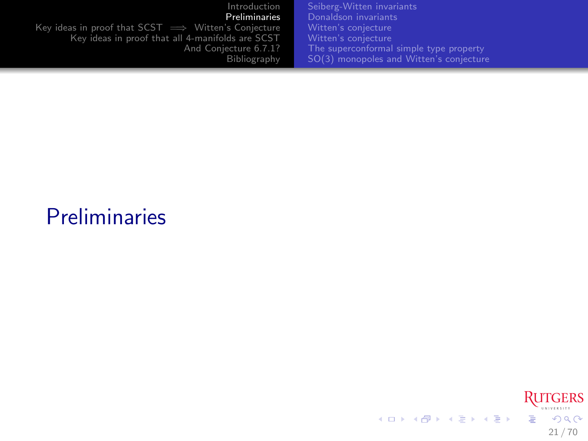| Introduction                                                | Seiberg-Witten invariants                |
|-------------------------------------------------------------|------------------------------------------|
| Preliminaries                                               | Donaldson invariants                     |
| Key ideas in proof that $SCST \implies$ Witten's Conjecture | Witten's conjecture                      |
| Key ideas in proof that all 4-manifolds are SCST            | Witten's conjecture                      |
| And Conjecture 6.7.1?                                       | The superconformal simple type property. |
| Bibliography                                                | SO(3) monopoles and Witten's conjecture  |

# **Preliminaries**

<span id="page-20-0"></span>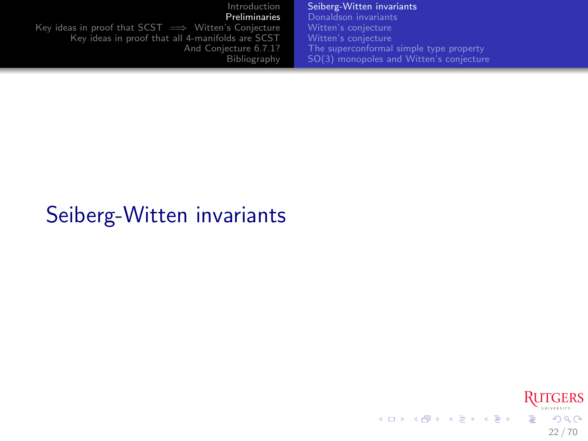[Introduction](#page-2-0) [Preliminaries](#page-20-0) Key ideas in proof that  $SCST \implies$  Witten's Conjecture [Key ideas in proof that all 4-manifolds are SCST](#page-51-0) [And Conjecture 6.7.1?](#page-55-0) [Bibliography](#page-60-0) [Seiberg-Witten invariants](#page-21-0) [Donaldson invariants](#page-27-0) [The superconformal simple type property](#page-35-0) [SO\(3\) monopoles and Witten's conjecture](#page-38-0)

# Seiberg-Witten invariants

<span id="page-21-0"></span>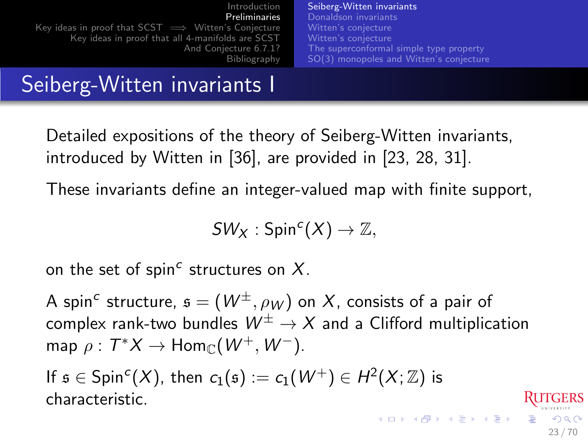[Introduction](#page-2-0) [Preliminaries](#page-20-0) [Key ideas in proof that SCST =](#page-46-0)→ Witten's Conjecture [Key ideas in proof that all 4-manifolds are SCST](#page-51-0) [And Conjecture 6.7.1?](#page-55-0) [Bibliography](#page-60-0) [Seiberg-Witten invariants](#page-21-0) [Donaldson invariants](#page-27-0) [Witten's conjecture](#page-31-0) [Witten's conjecture](#page-32-0) [The superconformal simple type property](#page-35-0) [SO\(3\) monopoles and Witten's conjecture](#page-38-0)

### Seiberg-Witten invariants I

Detailed expositions of the theory of Seiberg-Witten invariants, introduced by Witten in [\[36\]](#page-69-0), are provided in [\[23,](#page-66-3) [28,](#page-67-0) [31\]](#page-68-1).

These invariants define an integer-valued map with finite support,

 $SW_X : Spin^c(X) \to \mathbb{Z},$ 

on the set of spin<sup>c</sup> structures on  $X$ .

A spin $^c$  structure,  $\mathfrak{s} = (W^\pm, \rho_W)$  on  $X$ , consists of a pair of complex rank-two bundles  $W^{\pm} \to X$  and a Clifford multiplication map  $\rho: T^*X \to \text{Hom}_{\mathbb{C}}(W^+, W^-).$ 

23 / 70

 $\Omega$ 

If  $\mathfrak{s} \in \mathsf{Spin}^c(X)$ , then  $\mathsf{c}_1(\mathfrak{s}) := \mathsf{c}_1(\mathcal{W}^+) \in H^2(X;\mathbb{Z})$  is characteristic.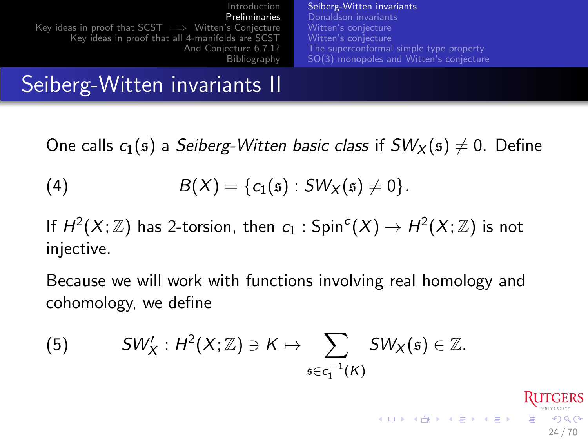| Introduction<br>Preliminaries                               | Seiberg-Witten invariants<br>Donaldson invariants |
|-------------------------------------------------------------|---------------------------------------------------|
|                                                             |                                                   |
| Key ideas in proof that $SCST \implies$ Witten's Conjecture | Witten's conjecture                               |
| Key ideas in proof that all 4-manifolds are SCST            | Witten's conjecture                               |
| And Conjecture 6.7.1?                                       | The superconformal simple type property.          |
| Bibliography                                                | SO(3) monopoles and Witten's conjecture           |

### Seiberg-Witten invariants II

One calls  $c_1(s)$  a Seiberg-Witten basic class if  $SW_x(s) \neq 0$ . Define

(4) 
$$
B(X) = \{c_1(\mathfrak{s}) : SW_X(\mathfrak{s}) \neq 0\}.
$$

If  $H^2(X;\mathbb{Z})$  has 2-torsion, then  $c_1: \mathsf{Spin}^c(X) \to H^2(X;\mathbb{Z})$  is not injective.

Because we will work with functions involving real homology and cohomology, we define

24 / 70

 $\mathbf{A} \otimes \mathbf{B} \rightarrow \mathbf{A} \otimes \mathbf{B} \rightarrow \mathbf{A} \otimes \mathbf{B} \rightarrow \mathbf{A} \otimes \mathbf{B} \times \mathbf{B} \times \mathbf{B} \times \mathbf{B} \times \mathbf{B} \times \mathbf{B} \times \mathbf{B} \times \mathbf{B} \times \mathbf{B} \times \mathbf{B} \times \mathbf{B} \times \mathbf{B} \times \mathbf{B} \times \mathbf{B} \times \mathbf{B} \times \mathbf{B} \times \mathbf{B} \times \mathbf{B} \times \mathbf{B} \times \mathbf{B} \times$ 

<span id="page-23-0"></span>(5) 
$$
SW'_{X}: H^{2}(X;\mathbb{Z})\ni K\mapsto \sum_{\mathfrak{s}\in c_{1}^{-1}(K)}SW_{X}(\mathfrak{s})\in \mathbb{Z}.
$$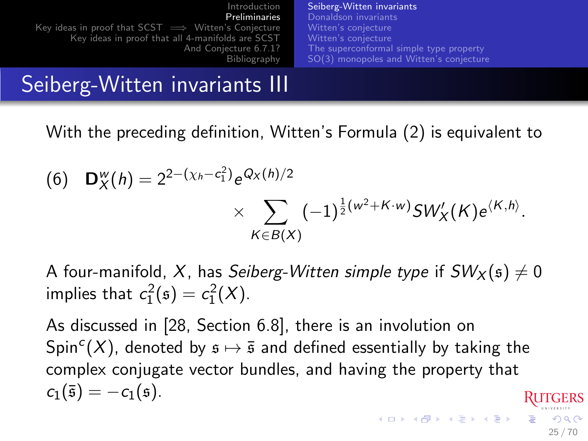| Introduction                                                | Seiberg-Witten invariants               |
|-------------------------------------------------------------|-----------------------------------------|
| Preliminaries                                               | Donaldson invariants                    |
| Key ideas in proof that $SCST \implies$ Witten's Conjecture | Witten's conjecture                     |
| Key ideas in proof that all 4-manifolds are SCST            | Witten's conjecture                     |
| And Conjecture 6.7.1?                                       | The superconformal simple type property |
| Bibliography                                                | SO(3) monopoles and Witten's conjecture |

### Seiberg-Witten invariants III

With the preceding definition, Witten's Formula [\(2\)](#page-0-1) is equivalent to

(6) 
$$
\mathbf{D}_{X}^{w}(h) = 2^{2-(\chi_{h}-c_{1}^{2})}e^{Q_{X}(h)/2} \times \sum_{K \in B(X)} (-1)^{\frac{1}{2}(w^{2}+K \cdot w)} SW'_{X}(K) e^{\langle K, h \rangle}.
$$

A four-manifold, X, has Seiberg-Witten simple type if  $SW_x(\mathfrak{s}) \neq 0$ implies that  $c_1^2(s) = c_1^2(X)$ .

As discussed in [\[28,](#page-67-0) Section 6.8], there is an involution on  $\mathsf{Spin}^c(X)$ , denoted by  $\mathfrak{s} \mapsto \bar{\mathfrak{s}}$  and defined essentially by taking the complex conjugate vector bundles, and having the property that  $c_1(\bar{s}) = -c_1(\bar{s}).$ 

25 / 70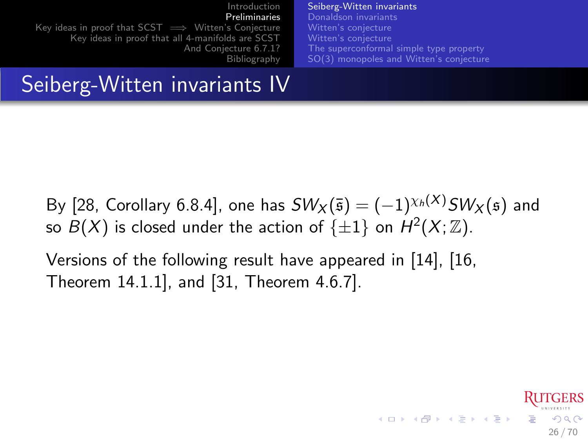[Introduction](#page-2-0) [Preliminaries](#page-20-0) [Key ideas in proof that SCST =](#page-46-0)→ Witten's Conjecture [Key ideas in proof that all 4-manifolds are SCST](#page-51-0) [And Conjecture 6.7.1?](#page-55-0) [Bibliography](#page-60-0) [Seiberg-Witten invariants](#page-21-0) [Donaldson invariants](#page-27-0) [Witten's conjecture](#page-31-0) [The superconformal simple type property](#page-35-0) [SO\(3\) monopoles and Witten's conjecture](#page-38-0)

## Seiberg-Witten invariants IV

By [\[28,](#page-67-0) Corollary 6.8.4], one has  $SW_X(\bar{s}) = (-1)^{\chi_h(X)}SW_X(\bar{s})$  and so  $B(X)$  is closed under the action of  $\{\pm 1\}$  on  $H^2(X;\mathbb{Z})$ .

26 / 70

 $\Omega$ 

Versions of the following result have appeared in [\[14\]](#page-64-2), [\[16,](#page-64-3) Theorem 14.1.1], and [\[31,](#page-68-1) Theorem 4.6.7].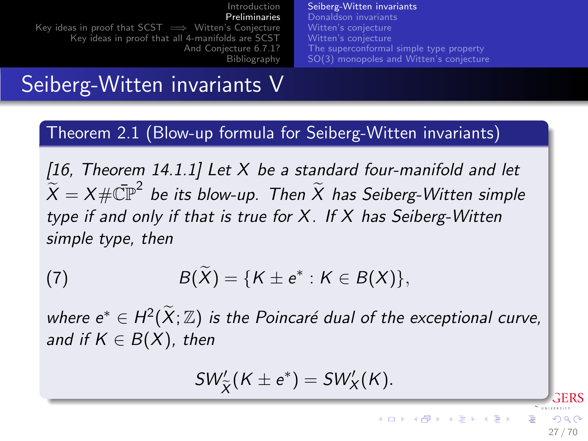| Introduction                                                | Seiberg-Witten invariants               |
|-------------------------------------------------------------|-----------------------------------------|
| Preliminaries                                               | Donaldson invariants                    |
| Key ideas in proof that $SCST \implies$ Witten's Conjecture | Witten's conjecture                     |
| Key ideas in proof that all 4-manifolds are SCST            | Witten's conjecture                     |
| And Conjecture 6.7.1?                                       | The superconformal simple type property |
| Bibliography                                                | SO(3) monopoles and Witten's conjecture |

### Seiberg-Witten invariants V

Theorem 2.1 (Blow-up formula for Seiberg-Witten invariants)

<span id="page-26-0"></span>[\[16,](#page-64-3) Theorem 14.1.1] Let  $X$  be a standard four-manifold and let  $\widetilde{X} = X \# \bar{\mathbb{CP}}^2$  be its blow-up. Then  $\widetilde{X}$  has Seiberg-Witten simple type if and only if that is true for  $X$ . If  $X$  has Seiberg-Witten simple type, then

(7) 
$$
B(\widetilde{X}) = \{K \pm e^* : K \in B(X)\},\
$$

where  $e^* \in H^2(\widetilde{X}; \mathbb{Z})$  is the Poincaré dual of the exceptional curve, and if  $K \in B(X)$ , then

$$
SW'_{\widetilde{X}}(K \pm e^*) = SW'_{X}(K).
$$

27 / 70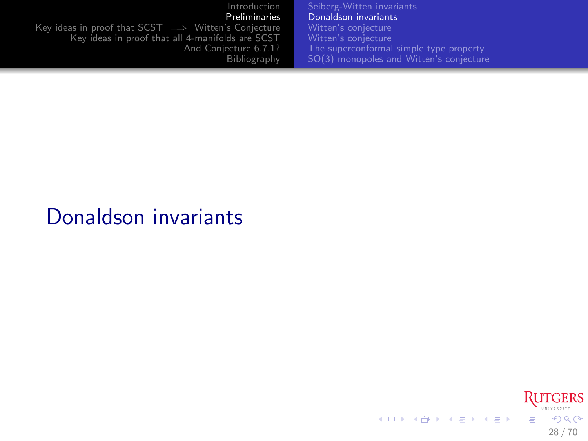[Introduction](#page-2-0) [Preliminaries](#page-20-0) Key ideas in proof that  $SCST \implies$  Witten's Conjecture [Key ideas in proof that all 4-manifolds are SCST](#page-51-0) [And Conjecture 6.7.1?](#page-55-0) [Bibliography](#page-60-0) [Seiberg-Witten invariants](#page-21-0) [Donaldson invariants](#page-27-0) [The superconformal simple type property](#page-35-0) [SO\(3\) monopoles and Witten's conjecture](#page-38-0)

### Donaldson invariants

<span id="page-27-0"></span>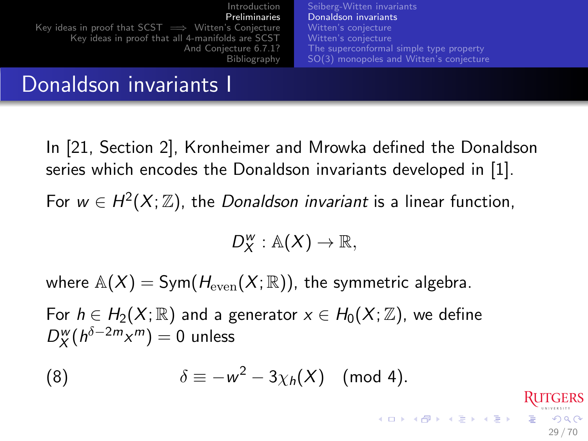[Introduction](#page-2-0) [Preliminaries](#page-20-0) [Key ideas in proof that SCST =](#page-46-0)→ Witten's Conjecture [Key ideas in proof that all 4-manifolds are SCST](#page-51-0) [And Conjecture 6.7.1?](#page-55-0) [Bibliography](#page-60-0) [Seiberg-Witten invariants](#page-21-0) [Donaldson invariants](#page-27-0) [Witten's conjecture](#page-31-0) [Witten's conjecture](#page-32-0) [The superconformal simple type property](#page-35-0) [SO\(3\) monopoles and Witten's conjecture](#page-38-0)

### Donaldson invariants I

In [\[21,](#page-65-0) Section 2], Kronheimer and Mrowka defined the Donaldson series which encodes the Donaldson invariants developed in [\[1\]](#page-61-1).

For  $w \in H^2(X;\mathbb{Z})$ , the *Donaldson invariant* is a linear function,

$$
D_X^w: \mathbb{A}(X) \to \mathbb{R},
$$

29 / 70

 $\Omega$ 

where  $\mathbb{A}(X) = \text{Sym}(H_{\text{even}}(X;\mathbb{R}))$ , the symmetric algebra.

For  $h \in H_2(X;\mathbb{R})$  and a generator  $x \in H_0(X;\mathbb{Z})$ , we define  $D_{X}^{w}(h^{\delta-2m}x^{m})=0$  unless

(8) 
$$
\delta \equiv -w^2 - 3\chi_h(X) \pmod{4}.
$$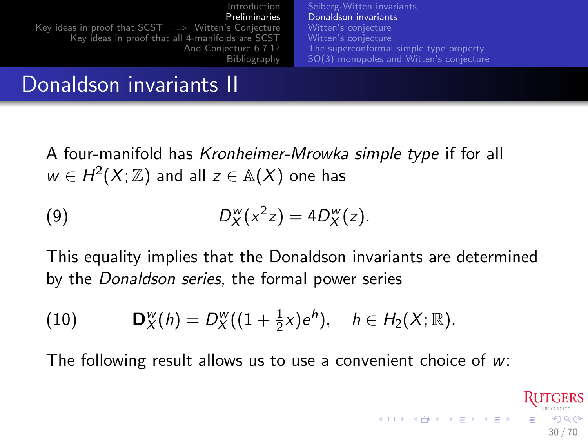[Introduction](#page-2-0) [Preliminaries](#page-20-0) [Key ideas in proof that SCST =](#page-46-0)→ Witten's Conjecture [Key ideas in proof that all 4-manifolds are SCST](#page-51-0) [And Conjecture 6.7.1?](#page-55-0) [Bibliography](#page-60-0) [Seiberg-Witten invariants](#page-21-0) [Donaldson invariants](#page-27-0) [Witten's conjecture](#page-31-0) [Witten's conjecture](#page-32-0) [The superconformal simple type property](#page-35-0) [SO\(3\) monopoles and Witten's conjecture](#page-38-0)

### Donaldson invariants II

A four-manifold has Kronheimer-Mrowka simple type if for all  $w \in H^2(X;\mathbb{Z})$  and all  $z \in \mathbb{A}(X)$  one has

$$
(9) \t\t D_X^w(x^2z) = 4D_X^w(z).
$$

This equality implies that the Donaldson invariants are determined by the Donaldson series, the formal power series

(10) 
$$
\mathbf{D}_X^w(h) = D_X^w((1+\tfrac{1}{2}x)e^h), \quad h \in H_2(X;\mathbb{R}).
$$

The following result allows us to use a convenient choice of  $w$ :

30 / 70

 $\Omega$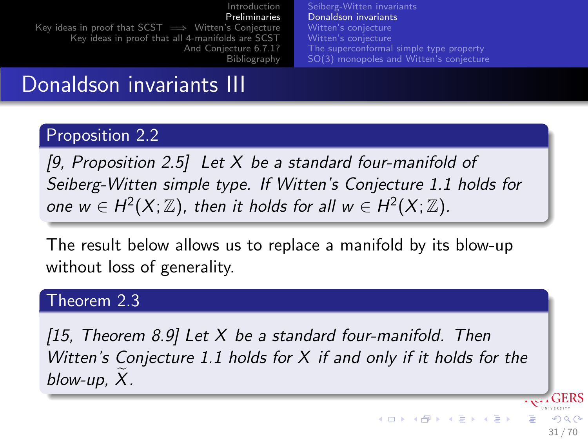[Introduction](#page-2-0) [Preliminaries](#page-20-0) [Key ideas in proof that SCST =](#page-46-0)→ Witten's Conjecture [Key ideas in proof that all 4-manifolds are SCST](#page-51-0) [And Conjecture 6.7.1?](#page-55-0) [Bibliography](#page-60-0) [Seiberg-Witten invariants](#page-21-0) [Donaldson invariants](#page-27-0) [Witten's conjecture](#page-31-0) [The superconformal simple type property](#page-35-0) [SO\(3\) monopoles and Witten's conjecture](#page-38-0)

### Donaldson invariants III

### Proposition 2.2

[\[9,](#page-62-3) Proposition 2.5] Let  $X$  be a standard four-manifold of Seiberg-Witten simple type. If Witten's Conjecture [1.1](#page-6-0) holds for one  $w \in H^2(X;\mathbb{Z})$ , then it holds for all  $w \in H^2(X;\mathbb{Z})$ .

The result below allows us to replace a manifold by its blow-up without loss of generality.

### Theorem 2.3

<span id="page-30-0"></span>[\[15,](#page-64-0) Theorem 8.9] Let  $X$  be a standard four-manifold. Then Witten's Conjecture [1.1](#page-6-0) holds for  $X$  if and only if it holds for the blow-up,  $X$ .

31 / 70

 $\Omega$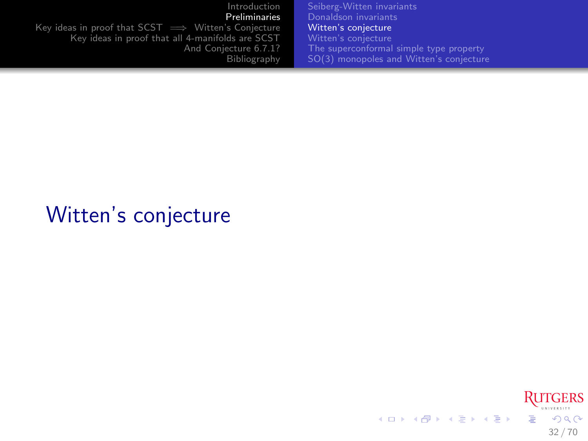[Introduction](#page-2-0) [Preliminaries](#page-20-0) Key ideas in proof that  $SCST \implies$  Witten's Conjecture [Key ideas in proof that all 4-manifolds are SCST](#page-51-0) [And Conjecture 6.7.1?](#page-55-0) [Bibliography](#page-60-0) [Seiberg-Witten invariants](#page-21-0) [Donaldson invariants](#page-27-0) [Witten's conjecture](#page-31-0) [The superconformal simple type property](#page-35-0) [SO\(3\) monopoles and Witten's conjecture](#page-38-0)

## Witten's conjecture

<span id="page-31-0"></span>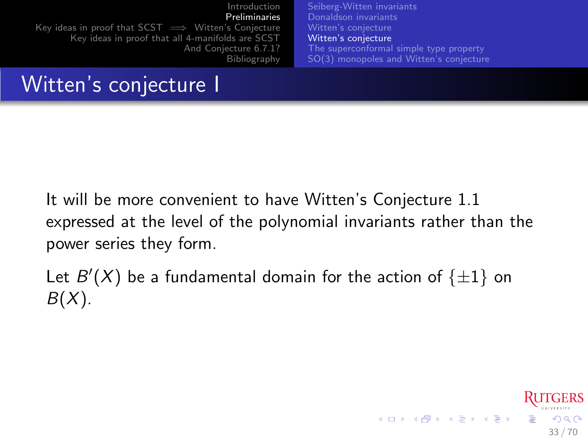[Introduction](#page-2-0) [Preliminaries](#page-20-0) [Key ideas in proof that SCST =](#page-46-0)→ Witten's Conjecture [Key ideas in proof that all 4-manifolds are SCST](#page-51-0) [And Conjecture 6.7.1?](#page-55-0) [Bibliography](#page-60-0) [Seiberg-Witten invariants](#page-21-0) [Donaldson invariants](#page-27-0) [Witten's conjecture](#page-31-0) [Witten's conjecture](#page-32-0) [The superconformal simple type property](#page-35-0) [SO\(3\) monopoles and Witten's conjecture](#page-38-0)

### Witten's conjecture I

It will be more convenient to have Witten's Conjecture [1.1](#page-6-0) expressed at the level of the polynomial invariants rather than the power series they form.

Let  $B'(X)$  be a fundamental domain for the action of  $\{\pm 1\}$  on  $B(X)$ .

<span id="page-32-0"></span>33 / 70

 $\Omega$ 

メロメ メ御き メミメ メミメ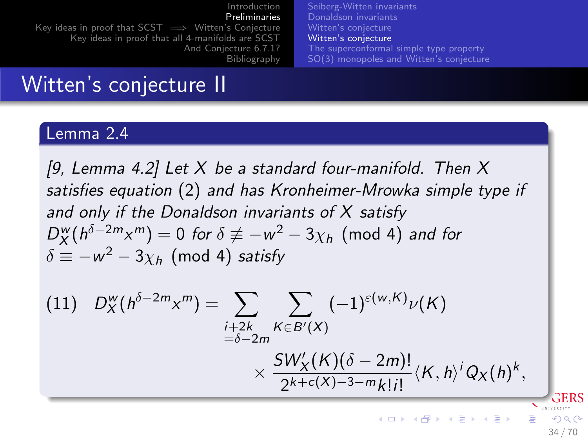[Introduction](#page-2-0) [Preliminaries](#page-20-0) [Key ideas in proof that SCST =](#page-46-0)→ Witten's Conjecture [Key ideas in proof that all 4-manifolds are SCST](#page-51-0) [And Conjecture 6.7.1?](#page-55-0) [Bibliography](#page-60-0) [Seiberg-Witten invariants](#page-21-0) [Donaldson invariants](#page-27-0) [Witten's conjecture](#page-31-0) [Witten's conjecture](#page-32-0) [The superconformal simple type property](#page-35-0) [SO\(3\) monopoles and Witten's conjecture](#page-38-0)

### Witten's conjecture II

### Lemma 2.4

[\[9,](#page-62-3) Lemma 4.2] Let X be a standard four-manifold. Then X satisfies equation [\(2\)](#page-0-1) and has Kronheimer-Mrowka simple type if and only if the Donaldson invariants of X satisfy  $D^w_X(h^{\delta-2m}x^m)=0$  for  $\delta\not\equiv -w^2-3\chi_h \pmod{4}$  and for  $\delta \equiv -w^2-3\chi_h \pmod{4}$  satisfy

(11) 
$$
D_{X}^{w}(h^{\delta-2m}x^{m}) = \sum_{\substack{i+2k \ k \in B'(X)}} \sum_{K \in B'(X)} (-1)^{\varepsilon(w,K)} \nu(K)
$$

$$
\times \frac{SW'_{X}(K)(\delta-2m)!}{2^{k+c(X)-3-m}k!i!} \langle K, h \rangle^{i} Q_{X}(h)^{k},
$$

34 / 70

**K ロ ト K 御 ト K 澄 ト K 差 ト**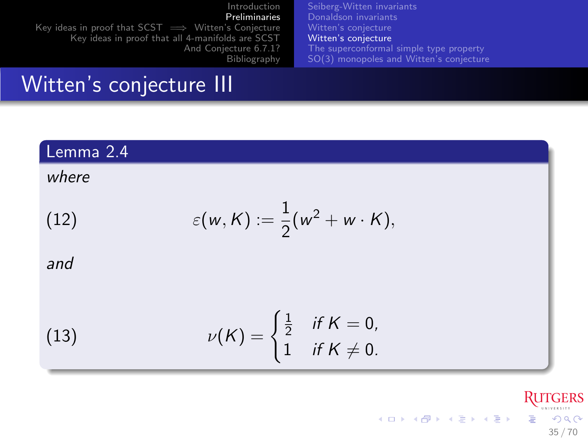[Introduction](#page-2-0) [Preliminaries](#page-20-0) Key ideas in proof that  $SCST \implies$  Witten's Conjecture [Key ideas in proof that all 4-manifolds are SCST](#page-51-0) [And Conjecture 6.7.1?](#page-55-0) [Bibliography](#page-60-0) [Seiberg-Witten invariants](#page-21-0) [Donaldson invariants](#page-27-0) [Witten's conjecture](#page-31-0) [Witten's conjecture](#page-32-0) [The superconformal simple type property](#page-35-0) [SO\(3\) monopoles and Witten's conjecture](#page-38-0)

### Witten's conjecture III

### Lemma 2.4

### where

(12) 
$$
\varepsilon(w,K):=\frac{1}{2}(w^2+w\cdot K),
$$

and

(13) 
$$
\nu(K) = \begin{cases} \frac{1}{2} & \text{if } K = 0, \\ 1 & \text{if } K \neq 0. \end{cases}
$$

**RUTGERS** メロメ メ御き メミメ メミメ Ğ.  $299$ 35 / 70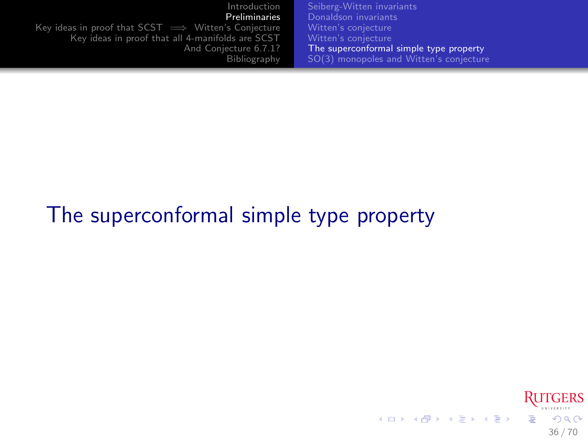| Introduction                                                | Seiberg-Witten invariants               |
|-------------------------------------------------------------|-----------------------------------------|
| Preliminaries                                               | Donaldson invariants                    |
| Key ideas in proof that $SCST \implies$ Witten's Conjecture | Witten's conjecture                     |
| Key ideas in proof that all 4-manifolds are SCST            | Witten's conjecture                     |
| And Conjecture 6.7.1?                                       | The superconformal simple type property |
| Bibliography                                                | SO(3) monopoles and Witten's conjecture |

# The superconformal simple type property

<span id="page-35-0"></span>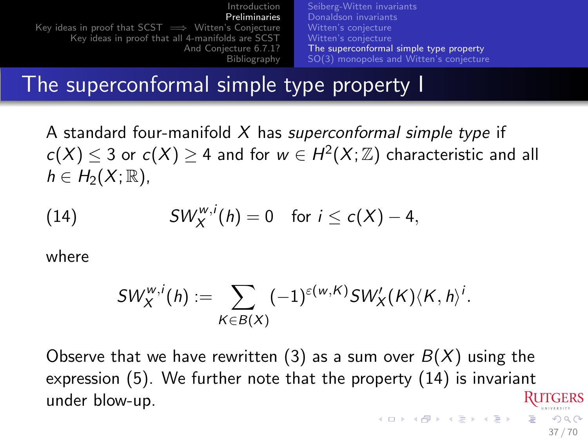[Introduction](#page-2-0) [Preliminaries](#page-20-0) [Key ideas in proof that SCST =](#page-46-0)→ Witten's Conjecture [Key ideas in proof that all 4-manifolds are SCST](#page-51-0) [And Conjecture 6.7.1?](#page-55-0) [Bibliography](#page-60-0) [Seiberg-Witten invariants](#page-21-0) [Donaldson invariants](#page-27-0) [Witten's conjecture](#page-31-0) [Witten's conjecture](#page-32-0) [The superconformal simple type property](#page-35-0) [SO\(3\) monopoles and Witten's conjecture](#page-38-0)

### The superconformal simple type property I

A standard four-manifold  $X$  has superconformal simple type if  $c(X) \leq 3$  or  $c(X) \geq 4$  and for  $w \in H^2(X;\mathbb{Z})$  characteristic and all  $h \in H_2(X;\mathbb{R}),$ 

(14) 
$$
SW_X^{w,i}(h) = 0 \text{ for } i \leq c(X) - 4,
$$

where

<span id="page-36-0"></span>
$$
SW_X^{w,i}(h) := \sum_{K \in B(X)} (-1)^{\varepsilon(w,K)} SW_X'(K) \langle K, h \rangle^i.
$$

Observe that we have rewritten [\(3\)](#page-7-0) as a sum over  $B(X)$  using the expression [\(5\)](#page-23-0). We further note that the property [\(14\)](#page-36-0) is invariant under blow-up.  $(0 \times 10^6) \times 10^6$ 

37 / 70

 $\Omega$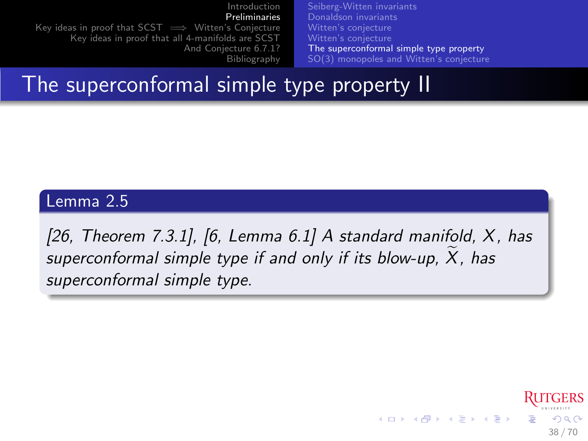[Introduction](#page-2-0) [Preliminaries](#page-20-0) [Key ideas in proof that SCST =](#page-46-0)→ Witten's Conjecture [Key ideas in proof that all 4-manifolds are SCST](#page-51-0) [And Conjecture 6.7.1?](#page-55-0) [Bibliography](#page-60-0) [Seiberg-Witten invariants](#page-21-0) [Donaldson invariants](#page-27-0) [Witten's conjecture](#page-31-0) [Witten's conjecture](#page-32-0) [The superconformal simple type property](#page-35-0) [SO\(3\) monopoles and Witten's conjecture](#page-38-0)

### The superconformal simple type property II

### Lemma 2.5

[\[26,](#page-66-0) Theorem 7.3.1], [\[6,](#page-62-1) Lemma  $6.1$ ] A standard manifold,  $X$ , has superconformal simple type if and only if its blow-up,  $X$ , has superconformal simple type.

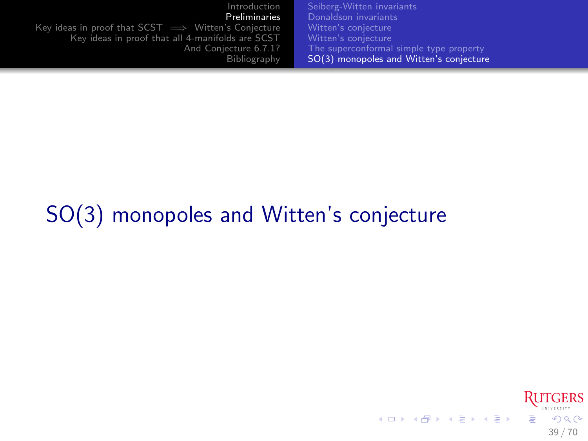| Introduction                                                | Seiberg-Witten invariants               |
|-------------------------------------------------------------|-----------------------------------------|
| Preliminaries                                               | Donaldson invariants                    |
| Key ideas in proof that $SCST \implies$ Witten's Conjecture | Witten's conjecture                     |
| Key ideas in proof that all 4-manifolds are SCST            | Witten's conjecture                     |
| And Conjecture 6.7.1?                                       | The superconformal simple type property |
| Bibliography                                                | SO(3) monopoles and Witten's conjecture |

# SO(3) monopoles and Witten's conjecture

<span id="page-38-0"></span>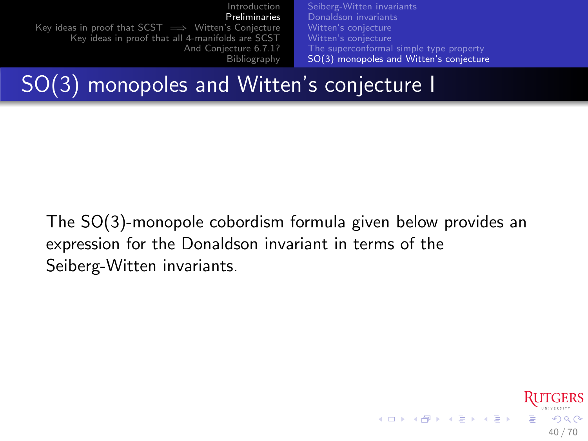[Introduction](#page-2-0) [Preliminaries](#page-20-0) Key ideas in proof that  $SCST \implies$  Witten's Conjecture [Key ideas in proof that all 4-manifolds are SCST](#page-51-0) [And Conjecture 6.7.1?](#page-55-0) [Bibliography](#page-60-0) [Seiberg-Witten invariants](#page-21-0) [Donaldson invariants](#page-27-0) [Witten's conjecture](#page-31-0) [The superconformal simple type property](#page-35-0) [SO\(3\) monopoles and Witten's conjecture](#page-38-0)

SO(3) monopoles and Witten's conjecture I

The SO(3)-monopole cobordism formula given below provides an expression for the Donaldson invariant in terms of the Seiberg-Witten invariants.

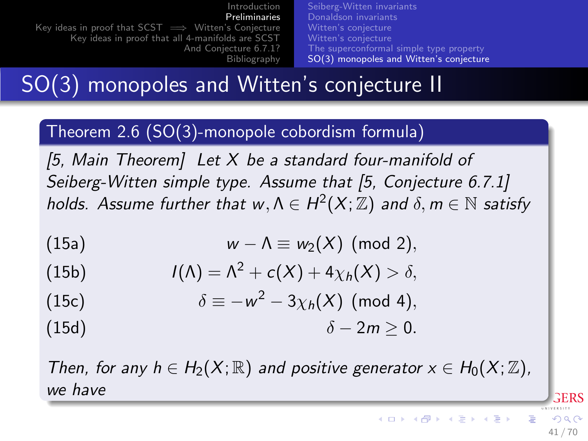[Introduction](#page-2-0) [Preliminaries](#page-20-0) [Key ideas in proof that SCST =](#page-46-0)→ Witten's Conjecture [Key ideas in proof that all 4-manifolds are SCST](#page-51-0) [And Conjecture 6.7.1?](#page-55-0) [Bibliography](#page-60-0) [Seiberg-Witten invariants](#page-21-0) [Donaldson invariants](#page-27-0) [Witten's conjecture](#page-31-0) [Witten's conjecture](#page-32-0) [The superconformal simple type property](#page-35-0) [SO\(3\) monopoles and Witten's conjecture](#page-38-0)

SO(3) monopoles and Witten's conjecture II

### Theorem 2.6 (SO(3)-monopole cobordism formula)

<span id="page-40-0"></span>[\[5,](#page-62-2) Main Theorem] Let  $X$  be a standard four-manifold of Seiberg-Witten simple type. Assume that [\[5,](#page-62-2) Conjecture 6.7.1] holds. Assume further that  $w, \Lambda \in H^2(X; \mathbb{Z})$  and  $\delta, m \in \mathbb{N}$  satisfy

(15a) 
$$
w - \Lambda \equiv w_2(X) \pmod{2},
$$

(15b) 
$$
I(\Lambda) = \Lambda^2 + c(X) + 4\chi_h(X) > \delta,
$$

(15c) 
$$
\delta \equiv -w^2 - 3\chi_h(X) \text{ (mod 4)},
$$

$$
\delta - 2m \geq 0.
$$

Then, for any  $h \in H_2(X; \mathbb{R})$  and positive generator  $x \in H_0(X; \mathbb{Z})$ , we have

41 / 70

RERS

 $\Omega$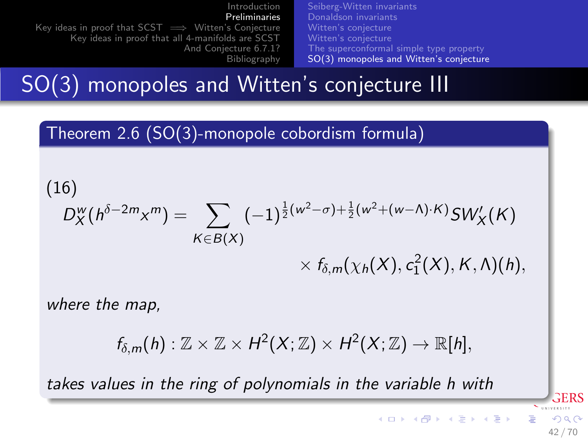| Introduction                                                | Seiberg-Witten invariants               |
|-------------------------------------------------------------|-----------------------------------------|
| Preliminaries                                               | Donaldson invariants                    |
| Key ideas in proof that $SCST \implies$ Witten's Conjecture | Witten's conjecture                     |
| Key ideas in proof that all 4-manifolds are SCST            | Witten's conjecture                     |
| And Conjecture 6.7.1?                                       | The superconformal simple type property |
| Bibliography                                                | SO(3) monopoles and Witten's conjecture |

## SO(3) monopoles and Witten's conjecture III

Theorem 2.6 (SO(3)-monopole cobordism formula)

(16)  
\n
$$
D_{X}^{w}(h^{\delta-2m}x^{m}) = \sum_{K \in B(X)} (-1)^{\frac{1}{2}(w^{2}-\sigma)+\frac{1}{2}(w^{2}+(w-\Lambda)\cdot K)} SW'_{X}(K)
$$
\n
$$
\times f_{\delta,m}(\chi_{h}(X), c_{1}^{2}(X), K, \Lambda)(h),
$$

where the map,

$$
f_{\delta,m}(h): \mathbb{Z} \times \mathbb{Z} \times H^2(X;\mathbb{Z}) \times H^2(X;\mathbb{Z}) \to \mathbb{R}[h],
$$

takes values in the ring of polynomials in the variable h with

**GERS**  $\Omega$ 42 / 70

イロメ 不優 メスミメ スミメー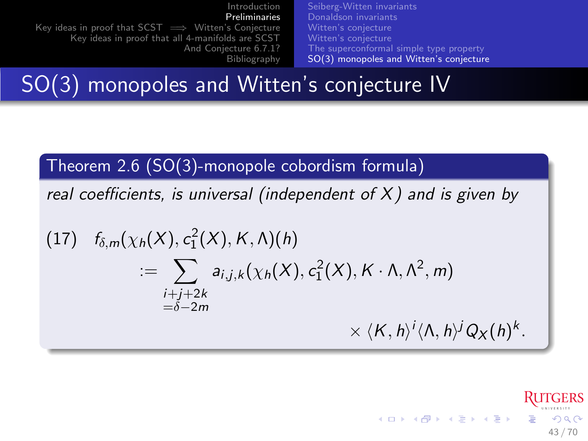[Introduction](#page-2-0) [Preliminaries](#page-20-0) Key ideas in proof that  $SCST \implies$  Witten's Conjecture [Key ideas in proof that all 4-manifolds are SCST](#page-51-0) [And Conjecture 6.7.1?](#page-55-0) [Bibliography](#page-60-0) [Seiberg-Witten invariants](#page-21-0) [Donaldson invariants](#page-27-0) [Witten's conjecture](#page-31-0) [The superconformal simple type property](#page-35-0) [SO\(3\) monopoles and Witten's conjecture](#page-38-0)

SO(3) monopoles and Witten's conjecture IV

Theorem 2.6 (SO(3)-monopole cobordism formula)

real coefficients, is universal (independent of  $X$ ) and is given by

(17) 
$$
f_{\delta,m}(\chi_h(X), c_1^2(X), K, \Lambda)(h)
$$
  

$$
:= \sum_{\substack{i+j+2k \ -\delta-2m}} a_{i,j,k}(\chi_h(X), c_1^2(X), K \cdot \Lambda, \Lambda^2, m)
$$
  

$$
\times \langle K, h \rangle^i \langle \Lambda, h \rangle^j Q_X(h)^k.
$$

メロメ メ御き メミメ メミメ  $QQQ$ 43 / 70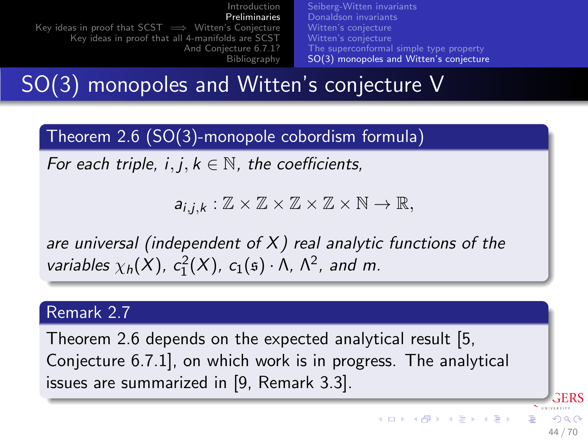[Introduction](#page-2-0) [Preliminaries](#page-20-0) [Key ideas in proof that SCST =](#page-46-0)→ Witten's Conjecture [Key ideas in proof that all 4-manifolds are SCST](#page-51-0) [And Conjecture 6.7.1?](#page-55-0) [Bibliography](#page-60-0) [Seiberg-Witten invariants](#page-21-0) [Donaldson invariants](#page-27-0) [Witten's conjecture](#page-31-0) [Witten's conjecture](#page-32-0) [The superconformal simple type property](#page-35-0) [SO\(3\) monopoles and Witten's conjecture](#page-38-0)

SO(3) monopoles and Witten's conjecture V

Theorem 2.6 (SO(3)-monopole cobordism formula)

For each triple,  $i, j, k \in \mathbb{N}$ , the coefficients,

 $a_{i,k} : \mathbb{Z} \times \mathbb{Z} \times \mathbb{Z} \times \mathbb{Z} \times \mathbb{N} \to \mathbb{R}$ 

are universal (independent of  $X$ ) real analytic functions of the variables  $\chi_h(X)$ ,  $c_1^2(X)$ ,  $c_1(s) \cdot \Lambda$ ,  $\Lambda^2$ , and m.

### Remark 2.7

Theorem [2.6](#page-40-0) depends on the expected analytical result [\[5,](#page-62-2) Conjecture 6.7.1], on which work is in progress. The analytical issues are summarized in [\[9,](#page-62-3) Remark 3.3].

44 / 70

 $209$ 

RERS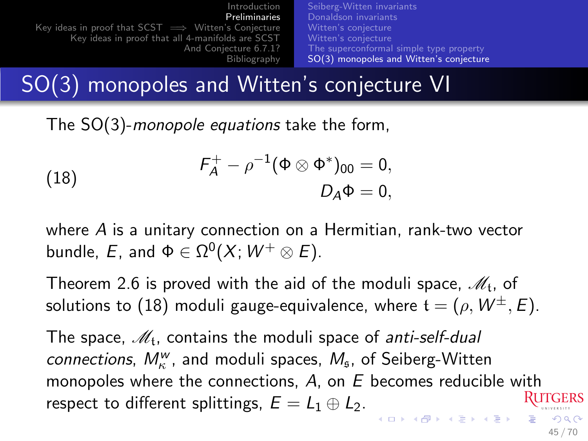[Introduction](#page-2-0) [Preliminaries](#page-20-0) [Key ideas in proof that SCST =](#page-46-0)→ Witten's Conjecture [Key ideas in proof that all 4-manifolds are SCST](#page-51-0) [And Conjecture 6.7.1?](#page-55-0) [Bibliography](#page-60-0) [Seiberg-Witten invariants](#page-21-0) [Donaldson invariants](#page-27-0) [Witten's conjecture](#page-31-0) [Witten's conjecture](#page-32-0) [The superconformal simple type property](#page-35-0) [SO\(3\) monopoles and Witten's conjecture](#page-38-0)

SO(3) monopoles and Witten's conjecture VI

The SO(3)-monopole equations take the form,

<span id="page-44-0"></span>(18) 
$$
F_A^+ - \rho^{-1} (\Phi \otimes \Phi^*)_{00} = 0, D_A \Phi = 0,
$$

where A is a unitary connection on a Hermitian, rank-two vector bundle,  $E$ , and  $\Phi\in\Omega^0(X;\, W^+\otimes E).$ 

Theorem [2.6](#page-40-0) is proved with the aid of the moduli space,  $\mathscr{M}_\mathfrak{t}$ , of solutions to [\(18\)](#page-44-0) moduli gauge-equivalence, where  $t = (\rho, W^{\pm}, E)$ .

The space,  $\mathscr{M}_{\mathfrak{t}}$ , contains the moduli space of *anti-self-dual* connections,  $M_{\kappa}^{w}$ , and moduli spaces,  $M_{\mathfrak{s}}$ , of Seiberg-Witten monopoles where the connections,  $A$ , on  $E$  becomes reducible with respect to different splittings,  $E = L_1 \oplus L_2$ . -<br>-<br>- 4 <u>마 × 4 마</u> × 4 마 × 4 마 ×  $209$ 

45 / 70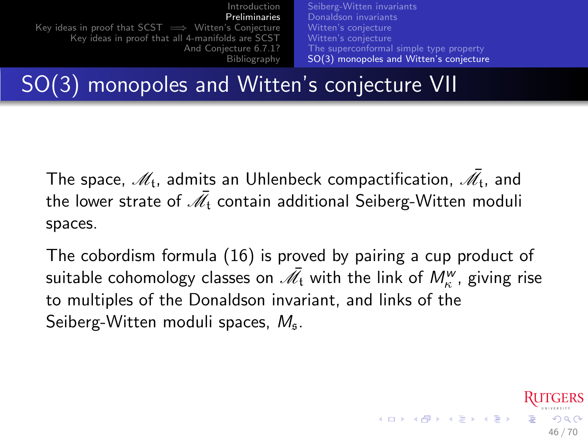| Introduction                                                | Seiberg-Witten invariants               |
|-------------------------------------------------------------|-----------------------------------------|
| Preliminaries                                               | Donaldson invariants                    |
| Key ideas in proof that $SCST \implies$ Witten's Conjecture | Witten's conjecture                     |
| Key ideas in proof that all 4-manifolds are SCST            | Witten's conjecture                     |
| And Conjecture 6.7.1?                                       | The superconformal simple type property |
| Bibliography                                                | SO(3) monopoles and Witten's conjecture |

SO(3) monopoles and Witten's conjecture VII

The space,  $\mathscr{M}_\mathfrak{t}$ , admits an Uhlenbeck compactification,  $\bar{\mathscr{M}_\mathfrak{t}}$ , and the lower strate of  $\bar{\mathscr{M}}_{\mathfrak{t}}$  contain additional Seiberg-Witten moduli spaces.

The cobordism formula [\(16\)](#page-0-1) is proved by pairing a cup product of suitable cohomology classes on  $\bar{\mathscr{M}}_{\mathfrak{t}}$  with the link of  $M_{\kappa}^w$ , giving rise to multiples of the Donaldson invariant, and links of the Seiberg-Witten moduli spaces,  $M_{\rm s}$ .

46 / 70

 $\begin{array}{l} \left\langle \begin{array}{c} 1 \end{array} \right\rangle \left\langle \begin{array}{c} 1 \end{array} \right\rangle \left\langle \begin{array}{c} 1 \end{array} \right\rangle \left\langle \begin{array}{c} 1 \end{array} \right\rangle \left\langle \begin{array}{c} 1 \end{array} \right\rangle \left\langle \begin{array}{c} 1 \end{array} \right\rangle \left\langle \begin{array}{c} 1 \end{array} \right\rangle \left\langle \begin{array}{c} 1 \end{array} \right\rangle \left\langle \begin{array}{c} 1 \end{array} \right\rangle \left\langle \begin{array}{c} 1 \end$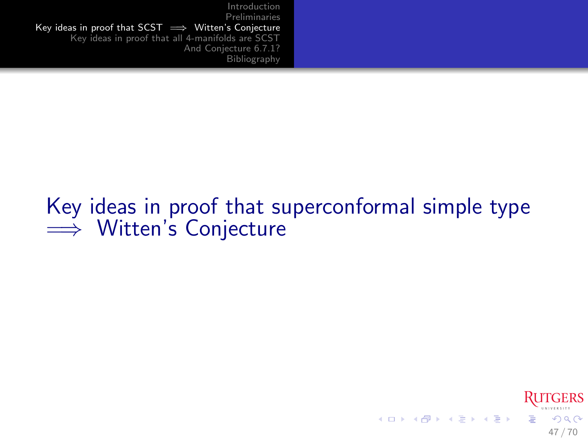## Key ideas in proof that superconformal simple type  $\implies$  Witten's Conjecture

<span id="page-46-0"></span>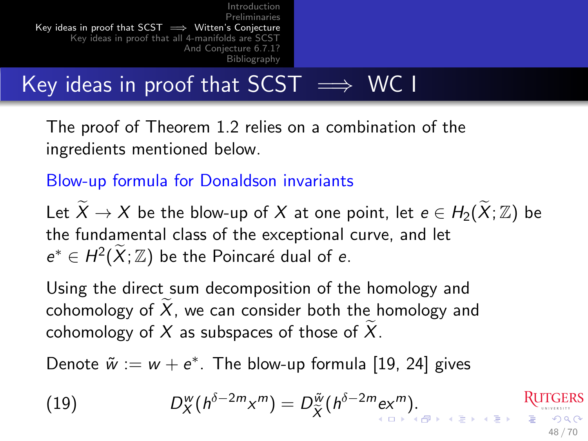[Introduction](#page-2-0) [Preliminaries](#page-20-0)<br>Witten's Conjecture ⇒ — Key ideas in proof that SCST [Key ideas in proof that all 4-manifolds are SCST](#page-51-0) [And Conjecture 6.7.1?](#page-55-0) [Bibliography](#page-60-0)

# Key ideas in proof that  $SCST \implies WCI$

The proof of Theorem [1.2](#page-8-0) relies on a combination of the ingredients mentioned below.

### Blow-up formula for Donaldson invariants

Let  $X \to X$  be the blow-up of X at one point, let  $e \in H_2(X;\mathbb{Z})$  be the fundamental class of the exceptional curve, and let  $e^* \in H^2(\widetilde{X}; \mathbb{Z})$  be the Poincaré dual of e.

Using the direct sum decomposition of the homology and cohomology of  $X$ , we can consider both the homology and cohomology of  $X$  as subspaces of those of  $X$ .

Denote  $\tilde{w} := w + e^*$ . The blow-up formula [\[19,](#page-65-1) [24\]](#page-66-4) gives

$$
(19) \t\t D_X^w(h^{\delta-2m}x^m)=D_{\widetilde{X}}^{\widetilde{w}}(h^{\delta-2m}ex^m).
$$
\tRUTGERS

<span id="page-47-0"></span>48 / 70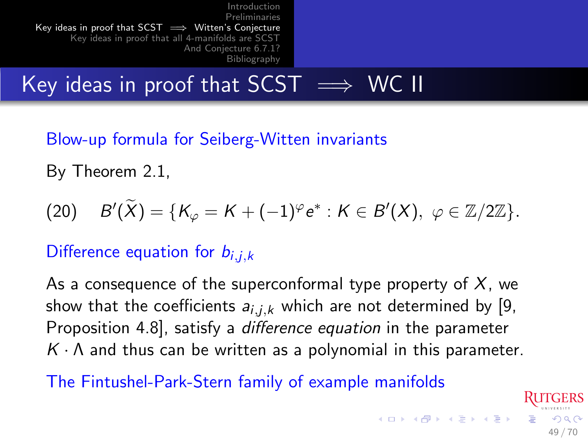# Key ideas in proof that  $SCST \implies WC$  II

Blow-up formula for Seiberg-Witten invariants

By Theorem [2.1,](#page-26-0)

$$
(20) \quad B'(\widetilde{X})=\{K_{\varphi}=K+(-1)^{\varphi}e^*: K\in B'(X),\ \varphi\in \mathbb{Z}/2\mathbb{Z}\}.
$$

### Difference equation for  $b_{i,j,k}$

As a consequence of the superconformal type property of  $X$ , we show that the coefficients  $a_{i,j,k}$  which are not determined by [\[9,](#page-62-3) Proposition 4.8], satisfy a difference equation in the parameter  $K \cdot \Lambda$  and thus can be written as a polynomial in this parameter.

<span id="page-48-0"></span>49 / 70

 $\Omega$ 

The Fintushel-Park-Stern family of example manifolds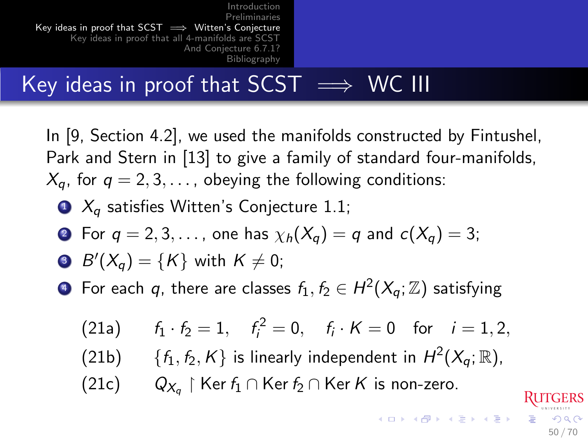# Key ideas in proof that  $SCST \implies WC$  III

In [\[9,](#page-62-3) Section 4.2], we used the manifolds constructed by Fintushel, Park and Stern in [\[13\]](#page-63-3) to give a family of standard four-manifolds,  $X_a$ , for  $q = 2, 3, \ldots$ , obeying the following conditions:

 $\bullet$   $X_a$  satisfies Witten's Conjecture [1.1;](#page-6-0)

• For 
$$
q = 2, 3, \ldots
$$
, one has  $\chi_h(X_q) = q$  and  $c(X_q) = 3$ ;

$$
\bullet \ \ B'(X_q)=\{K\} \ \text{with} \ \ K\neq 0;
$$

 $\bullet\,$  For each  $\,$  , there are classes  $\,f_1^{\phantom i},f_2^{\phantom i}\in H^2(X_q^{\phantom i},\mathbb{Z})\,$  satisfying

(21a) 
$$
f_1 \cdot f_2 = 1
$$
,  $f_i^2 = 0$ ,  $f_i \cdot K = 0$  for  $i = 1, 2$ ,  
\n(21b) { $f_1, f_2, K$ } is linearly independent in  $H^2(X_q; \mathbb{R})$ ,  
\n(21c)  $Q_{X_q} \upharpoonright \text{Ker } f_1 \cap \text{Ker } f_2 \cap \text{Ker } K$  is non-zero.

50 / 70

 $\Omega$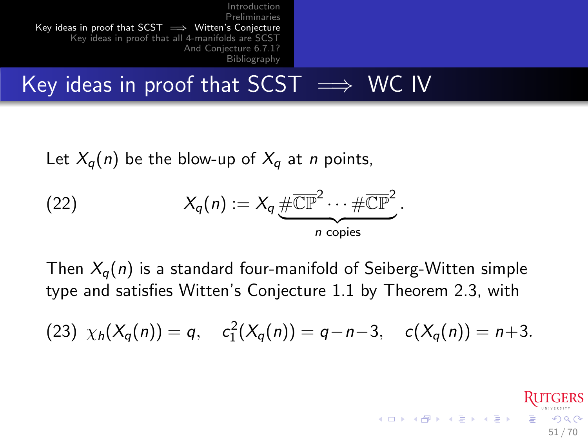# Key ideas in proof that  $SCST \implies WC$  IV

Let  $X_q(n)$  be the blow-up of  $X_q$  at *n* points,

(22) 
$$
X_q(n) := X_q \underbrace{\# \overline{\mathbb{CP}}^2 \cdots \# \overline{\mathbb{CP}}^2}_{n \text{ copies}}.
$$

Then  $X_{q}(n)$  is a standard four-manifold of Seiberg-Witten simple type and satisfies Witten's Conjecture [1.1](#page-6-0) by Theorem [2.3,](#page-30-0) with

(23) 
$$
\chi_h(X_q(n)) = q
$$
,  $c_1^2(X_q(n)) = q - n - 3$ ,  $c(X_q(n)) = n + 3$ .

51 / 70

 $209$ 

メロメ メ御き メミメ メミメ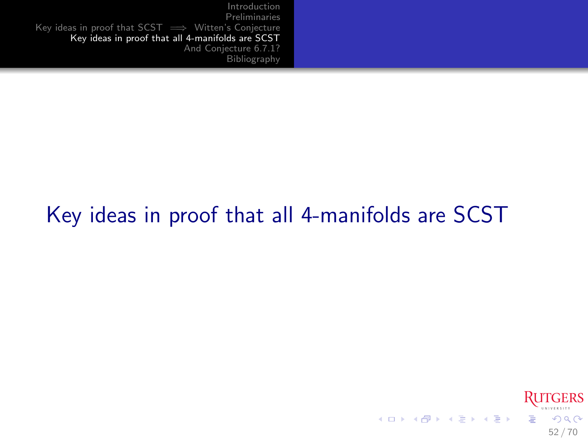# Key ideas in proof that all 4-manifolds are SCST

<span id="page-51-0"></span>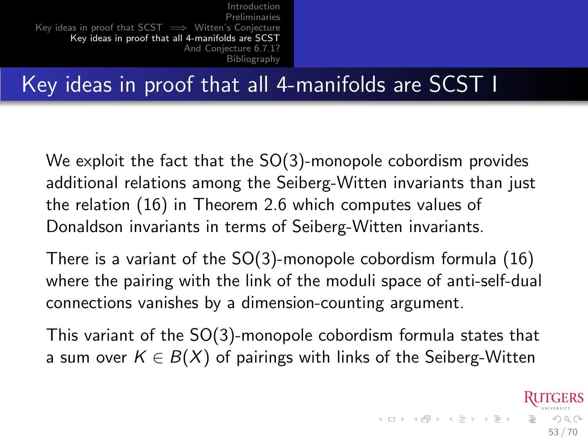## Key ideas in proof that all 4-manifolds are SCST I

We exploit the fact that the SO(3)-monopole cobordism provides additional relations among the Seiberg-Witten invariants than just the relation [\(16\)](#page-0-1) in Theorem [2.6](#page-40-0) which computes values of Donaldson invariants in terms of Seiberg-Witten invariants.

There is a variant of the SO(3)-monopole cobordism formula [\(16\)](#page-0-1) where the pairing with the link of the moduli space of anti-self-dual connections vanishes by a dimension-counting argument.

This variant of the SO(3)-monopole cobordism formula states that a sum over  $K \in B(X)$  of pairings with links of the Seiberg-Witten

53 / 70

 $\Omega$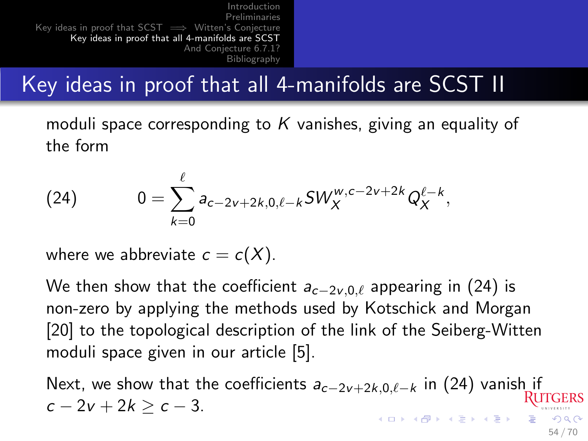# Key ideas in proof that all 4-manifolds are SCST II

moduli space corresponding to K vanishes, giving an equality of the form

<span id="page-53-0"></span>(24) 
$$
0 = \sum_{k=0}^{\ell} a_{c-2\nu+2k,0,\ell-k} SW_X^{w,c-2\nu+2k} Q_X^{\ell-k},
$$

where we abbreviate  $c = c(X)$ .

We then show that the coefficient  $a_{c-2v,0,\ell}$  appearing in [\(24\)](#page-53-0) is non-zero by applying the methods used by Kotschick and Morgan [\[20\]](#page-65-2) to the topological description of the link of the Seiberg-Witten moduli space given in our article [\[5\]](#page-62-2).

Next, we show that the coefficients  $a_{c-2v+2k,0,\ell-k}$  in [\(24\)](#page-53-0) vanish if  $c - 2v + 2k > c - 3$ .  $209$ 

54 / 70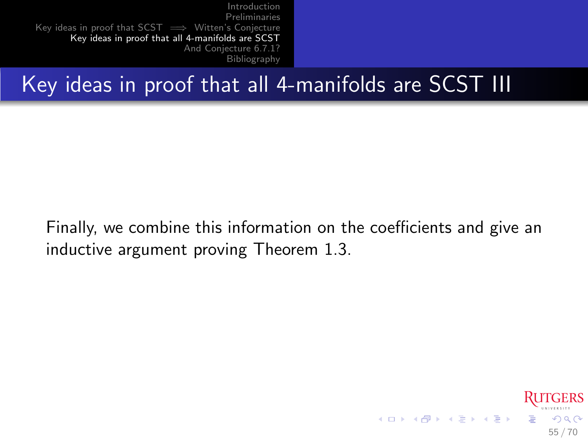## Key ideas in proof that all 4-manifolds are SCST III

Finally, we combine this information on the coefficients and give an inductive argument proving Theorem [1.3.](#page-9-0)

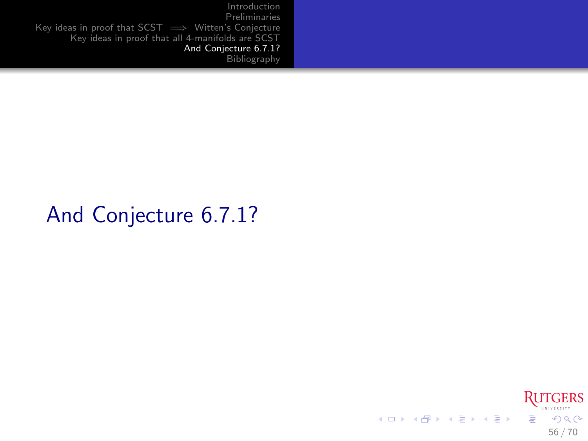## And Conjecture 6.7.1?

<span id="page-55-0"></span>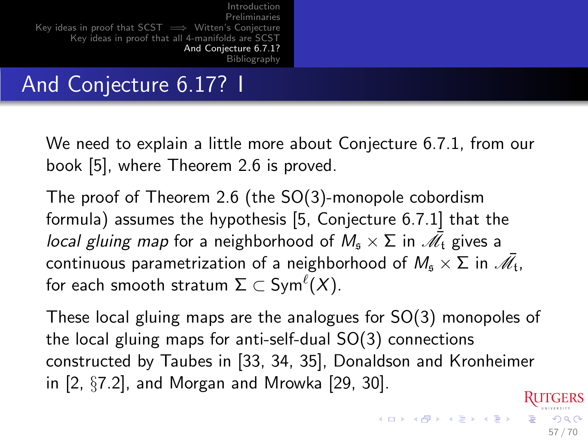# And Conjecture 6.17? I

We need to explain a little more about Conjecture 6.7.1, from our book [\[5\]](#page-62-2), where Theorem [2.6](#page-40-0) is proved.

The proof of Theorem [2.6](#page-40-0) (the SO(3)-monopole cobordism formula) assumes the hypothesis [\[5,](#page-62-2) Conjecture 6.7.1] that the *local gluing map* for a neighborhood of  $M_{\mathfrak{s}} \times \Sigma$  in  $\bar{\mathscr{M}_\mathfrak{t}}$  gives a continuous parametrization of a neighborhood of  $M_\mathfrak{s} \times \Sigma$  in  $\bar{\mathscr{M}_\mathfrak{t}}$ , for each smooth stratum  $\Sigma \subset \mathsf{Sym}^\ell(X).$ 

These local gluing maps are the analogues for SO(3) monopoles of the local gluing maps for anti-self-dual SO(3) connections constructed by Taubes in [\[33,](#page-68-2) [34,](#page-68-3) [35\]](#page-68-4), Donaldson and Kronheimer in [\[2,](#page-61-2) §7.2], and Morgan and Mrowka [\[29,](#page-67-1) [30\]](#page-67-2).

57 / 70

 $\Omega$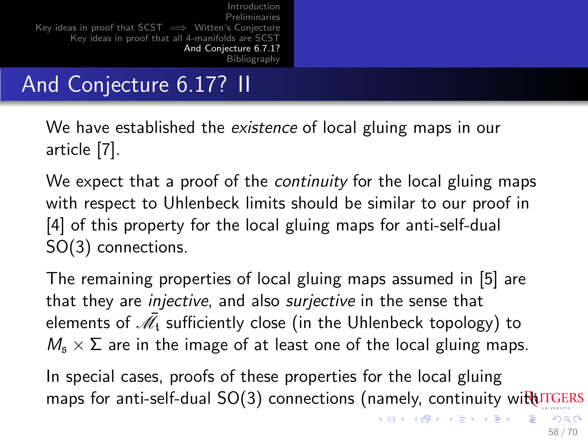# And Conjecture 6.17? II

We have established the *existence* of local gluing maps in our article [\[7\]](#page-62-4).

We expect that a proof of the *continuity* for the local gluing maps with respect to Uhlenbeck limits should be similar to our proof in [\[4\]](#page-61-3) of this property for the local gluing maps for anti-self-dual SO(3) connections.

The remaining properties of local gluing maps assumed in [\[5\]](#page-62-2) are that they are *injective*, and also *surjective* in the sense that elements of  $\bar{\mathscr{M}}_{\mathfrak{t}}$  sufficiently close (in the Uhlenbeck topology) to  $M<sub>s</sub> \times \Sigma$  are in the image of at least one of the local gluing maps.

In special cases, proofs of these properties for the local gluing maps for anti-self-dual  $SO(3)$  connections (namely, continuity with  $U$  on  $E$ 

イロト イ押 トイヨ トイヨ トー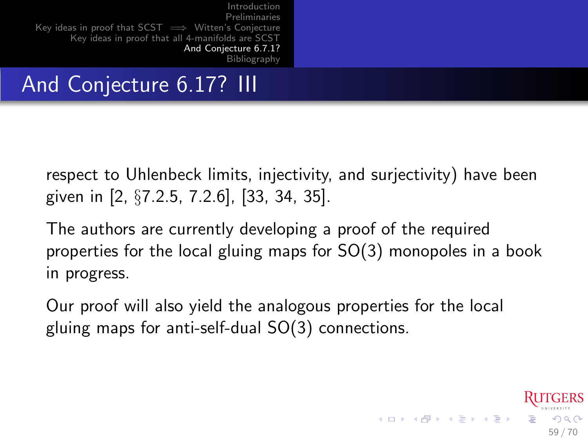## And Conjecture 6.17? III

respect to Uhlenbeck limits, injectivity, and surjectivity) have been given in [\[2,](#page-61-2) §7.2.5, 7.2.6], [\[33,](#page-68-2) [34,](#page-68-3) [35\]](#page-68-4).

The authors are currently developing a proof of the required properties for the local gluing maps for SO(3) monopoles in a book in progress.

59 / 70

 $\Omega$ 

**K ロ ト K 御 ト K 澄 ト K 差 ト** 

Our proof will also yield the analogous properties for the local gluing maps for anti-self-dual SO(3) connections.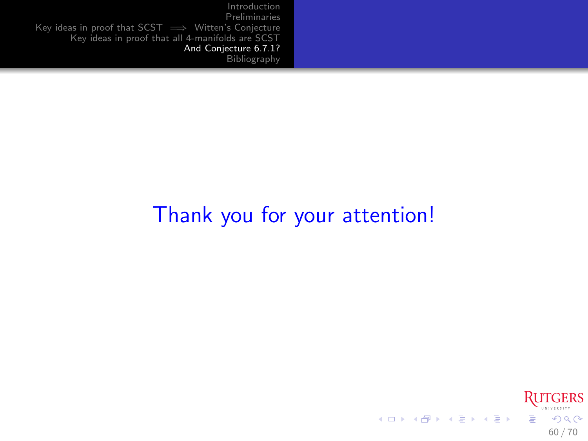## Thank you for your attention!

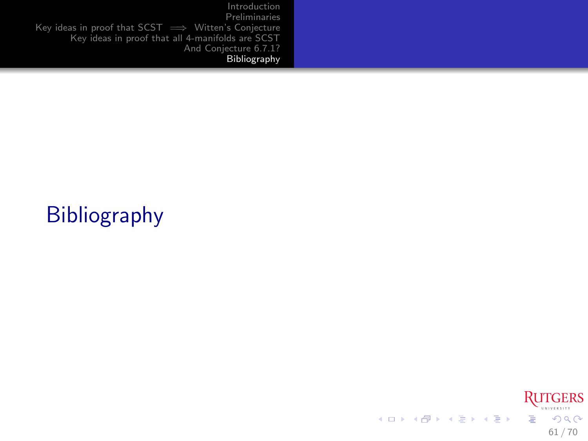# Bibliography

<span id="page-60-0"></span>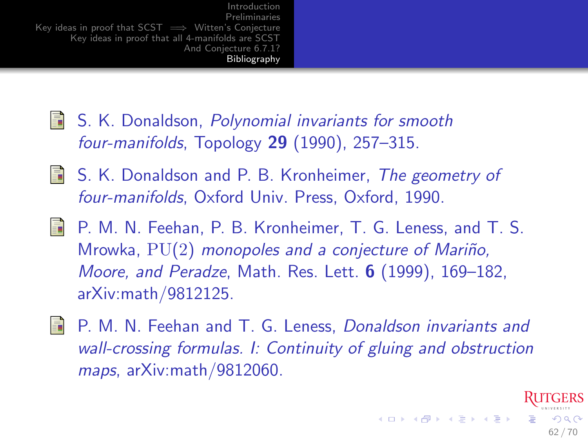- <span id="page-61-1"></span>**S. K. Donaldson, Polynomial invariants for smooth** four-manifolds, Topology  $29$  (1990), 257-315.
- <span id="page-61-2"></span>**S.** K. Donaldson and P. B. Kronheimer, The geometry of four-manifolds, Oxford Univ. Press, Oxford, 1990.
- <span id="page-61-0"></span>F. P. M. N. Feehan, P. B. Kronheimer, T. G. Leness, and T. S. Mrowka,  $PU(2)$  monopoles and a conjecture of Mariño, Moore, and Peradze, Math. Res. Lett. 6 (1999), 169–182, arXiv:math/9812125.
- <span id="page-61-3"></span>**F** P. M. N. Feehan and T. G. Leness, *Donaldson invariants and* wall-crossing formulas. I: Continuity of gluing and obstruction maps, arXiv:math/9812060.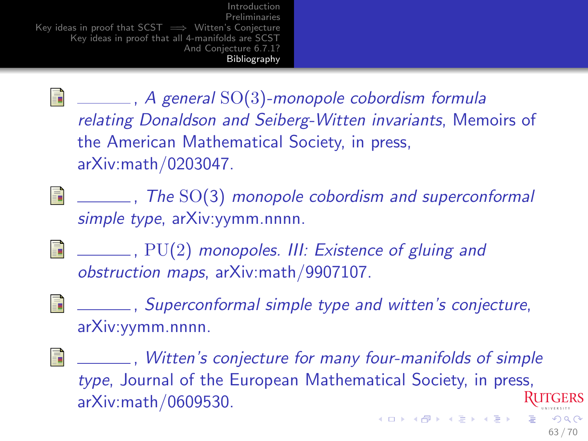<span id="page-62-2"></span> $\Box$   $\Box$   $\Box$   $\Box$   $\Box$  A general SO(3)-monopole cobordism formula relating Donaldson and Seiberg-Witten invariants, Memoirs of the American Mathematical Society, in press, arXiv:math/0203047.

<span id="page-62-1"></span>F.  $\sqrt{I_{\text{max}}}$ , The SO(3) monopole cobordism and superconformal simple type, arXiv: yymm.nnnn.

<span id="page-62-4"></span>F. **EVALUATE:** PU(2) monopoles. III: Existence of gluing and obstruction maps, arXiv:math/9907107.

<span id="page-62-0"></span>, Superconformal simple type and witten's conjecture, arXiv:yymm.nnnn.

<span id="page-62-3"></span>F , Witten's conjecture for many four-manifolds of simple type, Journal of the European Mathematical Society, in press, arXiv:math/0609530.  $\Omega$ 

63 / 70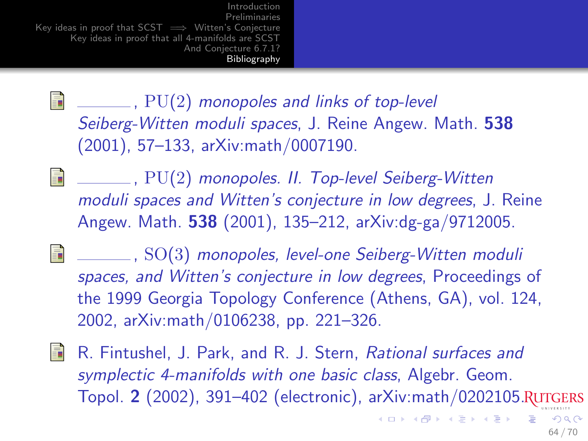<span id="page-63-2"></span>F  $\Box$ , PU(2) monopoles and links of top-level Seiberg-Witten moduli spaces, J. Reine Angew. Math. 538 (2001), 57–133, arXiv:math/0007190.

<span id="page-63-0"></span>F , PU(2) monopoles. II. Top-level Seiberg-Witten moduli spaces and Witten's conjecture in low degrees, J. Reine Angew. Math. 538 (2001), 135–212, arXiv:dg-ga/9712005.

<span id="page-63-1"></span>Ħ , SO(3) monopoles, level-one Seiberg-Witten moduli spaces, and Witten's conjecture in low degrees, Proceedings of the 1999 Georgia Topology Conference (Athens, GA), vol. 124, 2002, arXiv:math/0106238, pp. 221–326.

<span id="page-63-3"></span>歸 R. Fintushel, J. Park, and R. J. Stern, Rational surfaces and symplectic 4-manifolds with one basic class, Algebr. Geom. Topol. 2 (2002), 391–402 (electronic), arXiv:math/0202105.

 $\left\{ \begin{array}{ccc} 1 & 0 & 0 \\ 0 & 1 & 0 \end{array} \right.$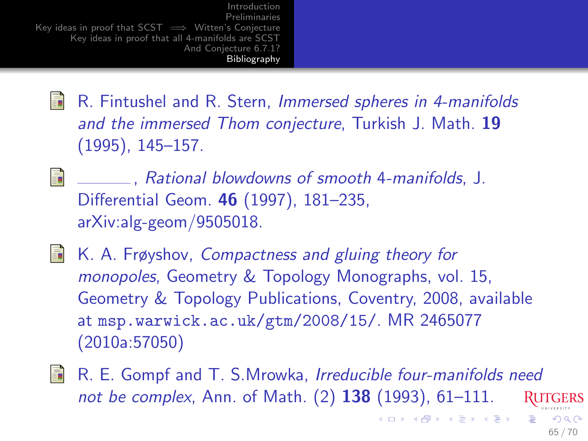- <span id="page-64-2"></span>F R. Fintushel and R. Stern, Immersed spheres in 4-manifolds and the immersed Thom conjecture, Turkish J. Math. 19 (1995), 145–157.
- <span id="page-64-0"></span>F , Rational blowdowns of smooth 4-manifolds, J. Differential Geom. 46 (1997), 181–235, arXiv:alg-geom/9505018.
- <span id="page-64-3"></span>晶 K. A. Frøyshov, Compactness and gluing theory for monopoles, Geometry & Topology Monographs, vol. 15, Geometry & Topology Publications, Coventry, 2008, available at <msp.warwick.ac.uk/gtm/2008/15/>. MR 2465077 (2010a:57050)
- <span id="page-64-1"></span>量 R. E. Gompf and T. S.Mrowka, Irreducible four-manifolds need not be complex, Ann. of Math. (2) **138** (1993), 61–111.

65 / 70

 $209$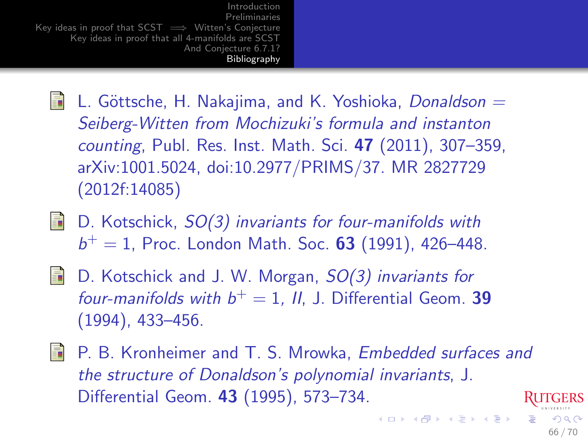- S. L. Göttsche, H. Nakajima, and K. Yoshioka, Donaldson  $=$ Seiberg-Witten from Mochizuki's formula and instanton counting, Publ. Res. Inst. Math. Sci. 47 (2011), 307–359, arXiv:1001.5024, doi:10.2977/PRIMS/37. MR 2827729 (2012f:14085)
- <span id="page-65-1"></span> $\Box$  D. Kotschick,  $SO(3)$  invariants for four-manifolds with  $b^{+} = 1$ , Proc. London Math. Soc. 63 (1991), 426-448.
- <span id="page-65-2"></span>F. D. Kotschick and J. W. Morgan,  $SO(3)$  invariants for four-manifolds with  $b^+=1$ , II, J. Differential Geom. 39 (1994), 433–456.
- <span id="page-65-0"></span>P. B. Kronheimer and T. S. Mrowka, Embedded surfaces and F. the structure of Donaldson's polynomial invariants, J. Differential Geom. 43 (1995), 573–734.

66 / 70

 $\Omega$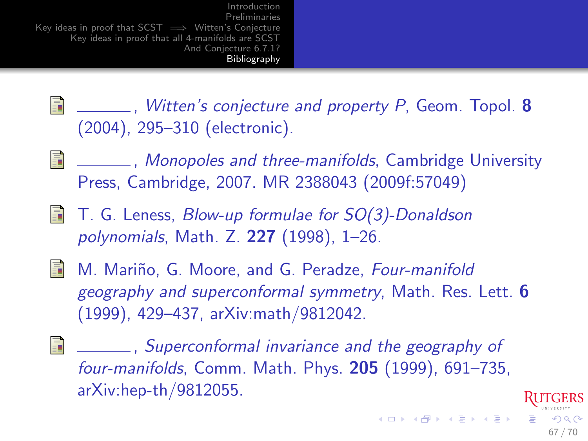<span id="page-66-2"></span>H  $\sqrt{a}$ , Witten's conjecture and property P, Geom. Topol. 8 (2004), 295–310 (electronic).

<span id="page-66-3"></span>量 <u>**Example 1.5 Monopoles and three-manifolds, Cambridge University**</u> Press, Cambridge, 2007. MR 2388043 (2009f:57049)

<span id="page-66-4"></span> $\Box$  T. G. Leness, *Blow-up formulae for SO(3)-Donaldson* polynomials, Math. Z. 227 (1998), 1–26.

<span id="page-66-1"></span>

**M. Mariño, G. Moore, and G. Peradze, Four-manifold** geography and superconformal symmetry, Math. Res. Lett. 6 (1999), 429–437, arXiv:math/9812042.

<span id="page-66-0"></span>歸 , Superconformal invariance and the geography of four-manifolds, Comm. Math. Phys. 205 (1999), 691–735, arXiv:hep-th/9812055.

67 / 70

 $209$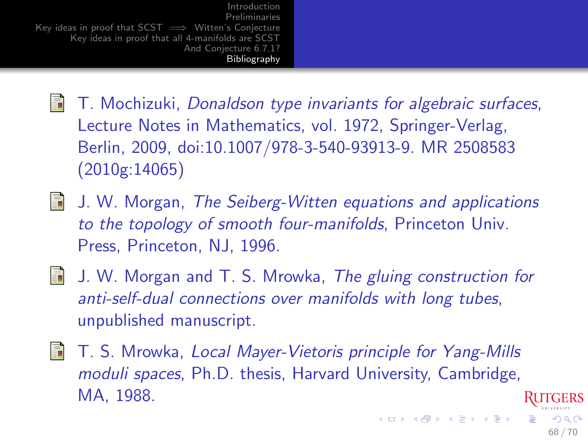- $\blacksquare$  T. Mochizuki, Donaldson type invariants for algebraic surfaces, Lecture Notes in Mathematics, vol. 1972, Springer-Verlag, Berlin, 2009, doi:10.1007/978-3-540-93913-9. MR 2508583 (2010g:14065)
- <span id="page-67-0"></span>**J.** W. Morgan, The Seiberg-Witten equations and applications to the topology of smooth four-manifolds, Princeton Univ. Press, Princeton, NJ, 1996.
- <span id="page-67-1"></span>**J.** W. Morgan and T. S. Mrowka, The gluing construction for anti-self-dual connections over manifolds with long tubes, unpublished manuscript.
- <span id="page-67-2"></span>**T**. S. Mrowka, Local Mayer-Vietoris principle for Yang-Mills moduli spaces, Ph.D. thesis, Harvard University, Cambridge, MA, 1988.

 $\Omega$ 68 / 70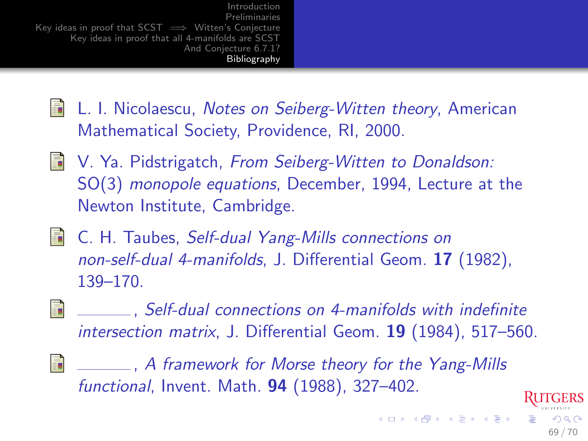- <span id="page-68-1"></span>**E** L. I. Nicolaescu, Notes on Seiberg-Witten theory, American Mathematical Society, Providence, RI, 2000.
- <span id="page-68-0"></span>**No. Ya. Pidstrigatch, From Seiberg-Witten to Donaldson:** SO(3) monopole equations, December, 1994, Lecture at the Newton Institute, Cambridge.
- <span id="page-68-2"></span>**E.** C. H. Taubes, Self-dual Yang-Mills connections on non-self-dual 4-manifolds, J. Differential Geom. 17 (1982), 139–170.
- <span id="page-68-3"></span>F. , Self-dual connections on 4-manifolds with indefinite intersection matrix, J. Differential Geom. 19 (1984), 517–560.

69 / 70

 $\Omega$ 

<span id="page-68-4"></span>品 **EXECUTE:** A framework for Morse theory for the Yang-Mills functional, Invent. Math. 94 (1988), 327–402.